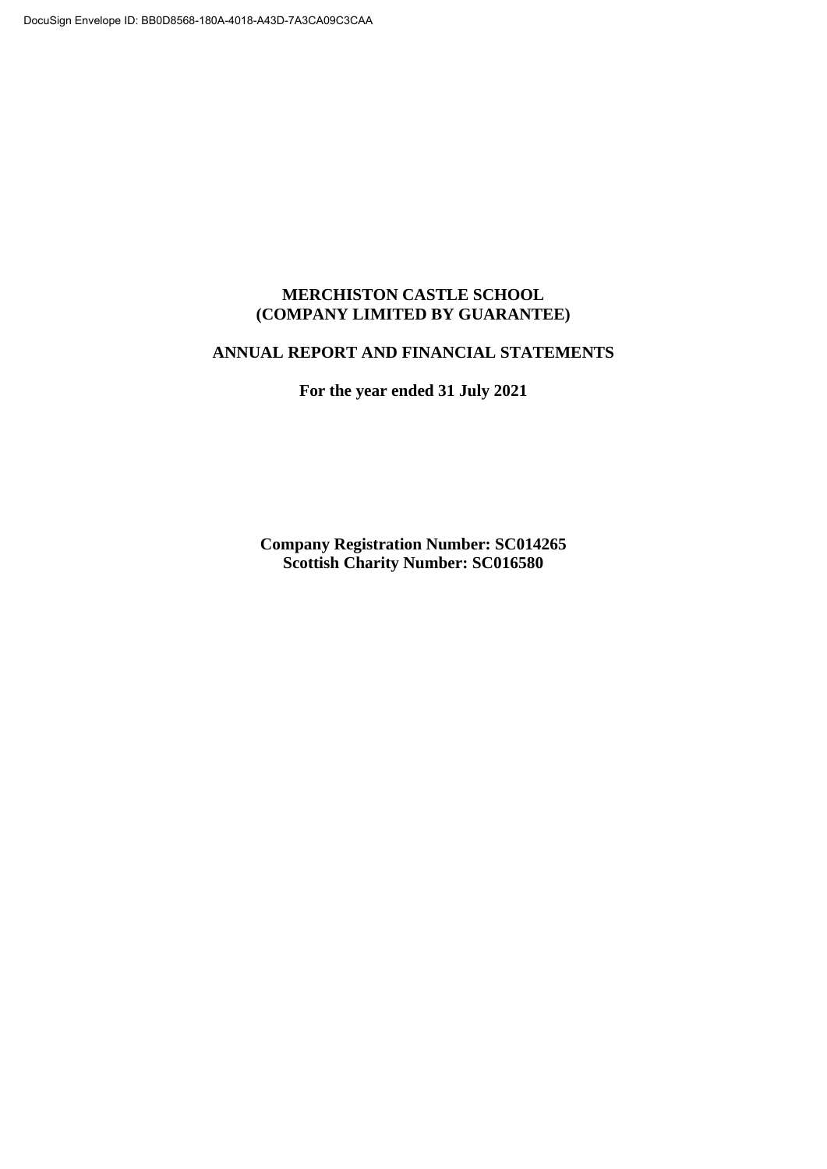# **MERCHISTON CASTLE SCHOOL (COMPANY LIMITED BY GUARANTEE)**

# **ANNUAL REPORT AND FINANCIAL STATEMENTS**

**For the year ended 31 July 2021**

**Company Registration Number: SC014265 Scottish Charity Number: SC016580**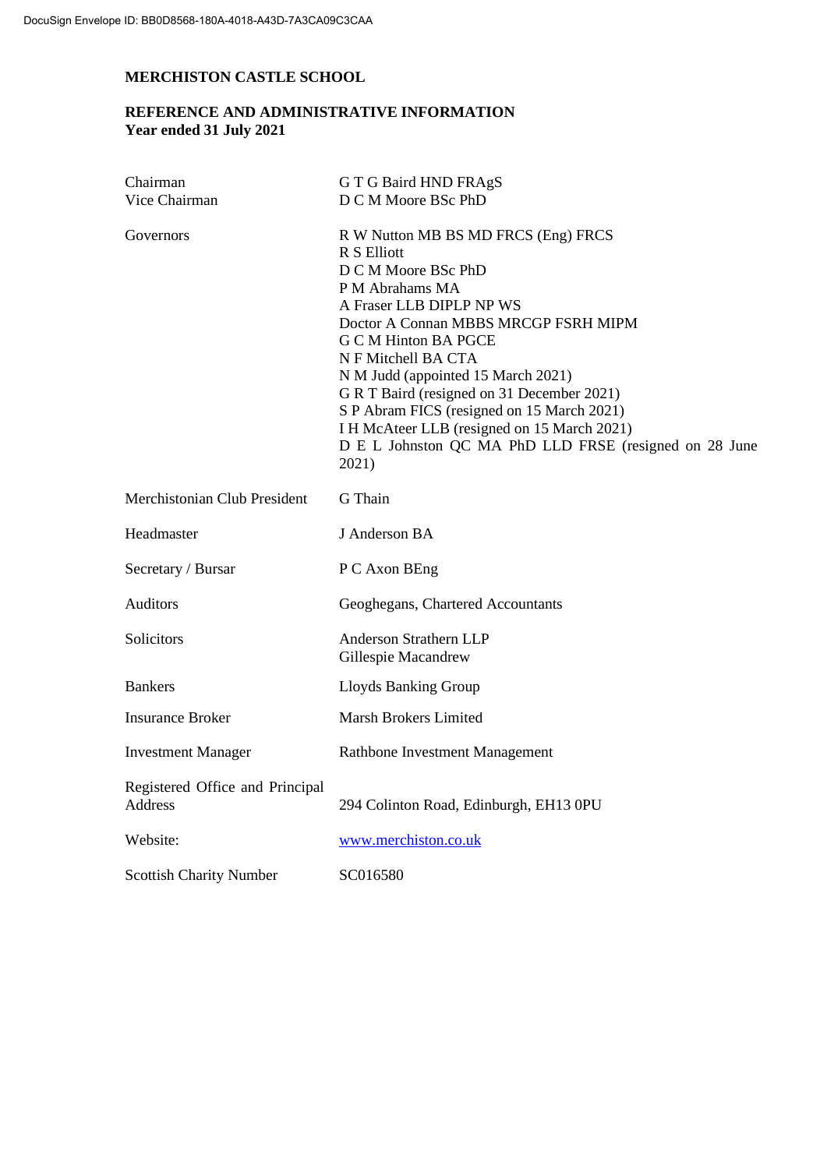# **REFERENCE AND ADMINISTRATIVE INFORMATION Year ended 31 July 2021**

| Chairman                                   | G T G Baird HND FRAgS                                                                                                                                                                                                                                                                                                                                                                                                                                                      |
|--------------------------------------------|----------------------------------------------------------------------------------------------------------------------------------------------------------------------------------------------------------------------------------------------------------------------------------------------------------------------------------------------------------------------------------------------------------------------------------------------------------------------------|
| Vice Chairman                              | D C M Moore BSc PhD                                                                                                                                                                                                                                                                                                                                                                                                                                                        |
| Governors                                  | R W Nutton MB BS MD FRCS (Eng) FRCS<br>R S Elliott<br>D C M Moore BSc PhD<br>P M Abrahams MA<br>A Fraser LLB DIPLP NP WS<br>Doctor A Connan MBBS MRCGP FSRH MIPM<br><b>G C M Hinton BA PGCE</b><br>N F Mitchell BA CTA<br>N M Judd (appointed 15 March 2021)<br>G R T Baird (resigned on 31 December 2021)<br>S P Abram FICS (resigned on 15 March 2021)<br>I H McAteer LLB (resigned on 15 March 2021)<br>D E L Johnston QC MA PhD LLD FRSE (resigned on 28 June<br>2021) |
| Merchistonian Club President               | G Thain                                                                                                                                                                                                                                                                                                                                                                                                                                                                    |
| Headmaster                                 | J Anderson BA                                                                                                                                                                                                                                                                                                                                                                                                                                                              |
| Secretary / Bursar                         | P C Axon BEng                                                                                                                                                                                                                                                                                                                                                                                                                                                              |
| Auditors                                   | Geoghegans, Chartered Accountants                                                                                                                                                                                                                                                                                                                                                                                                                                          |
| Solicitors                                 | Anderson Strathern LLP<br>Gillespie Macandrew                                                                                                                                                                                                                                                                                                                                                                                                                              |
| <b>Bankers</b>                             | Lloyds Banking Group                                                                                                                                                                                                                                                                                                                                                                                                                                                       |
| <b>Insurance Broker</b>                    | Marsh Brokers Limited                                                                                                                                                                                                                                                                                                                                                                                                                                                      |
| <b>Investment Manager</b>                  | Rathbone Investment Management                                                                                                                                                                                                                                                                                                                                                                                                                                             |
| Registered Office and Principal<br>Address | 294 Colinton Road, Edinburgh, EH13 0PU                                                                                                                                                                                                                                                                                                                                                                                                                                     |
| Website:                                   | www.merchiston.co.uk                                                                                                                                                                                                                                                                                                                                                                                                                                                       |
| <b>Scottish Charity Number</b>             | SC016580                                                                                                                                                                                                                                                                                                                                                                                                                                                                   |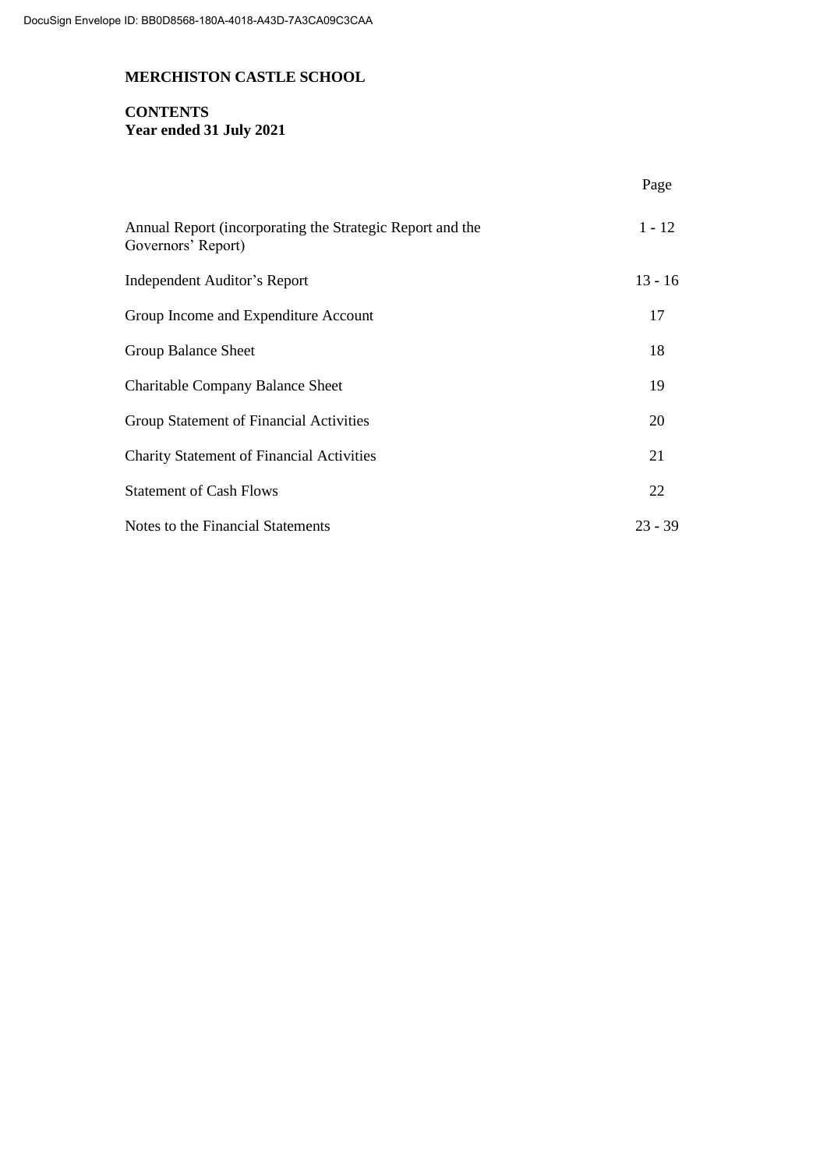# **CONTENTS Year ended 31 July 2021**

|                                                                                 | Page      |
|---------------------------------------------------------------------------------|-----------|
| Annual Report (incorporating the Strategic Report and the<br>Governors' Report) | $1 - 12$  |
| Independent Auditor's Report                                                    | $13 - 16$ |
| Group Income and Expenditure Account                                            | 17        |
| Group Balance Sheet                                                             | 18        |
| <b>Charitable Company Balance Sheet</b>                                         | 19        |
| Group Statement of Financial Activities                                         | 20        |
| <b>Charity Statement of Financial Activities</b>                                | 21        |
| <b>Statement of Cash Flows</b>                                                  | 22        |
| Notes to the Financial Statements                                               | $23 - 39$ |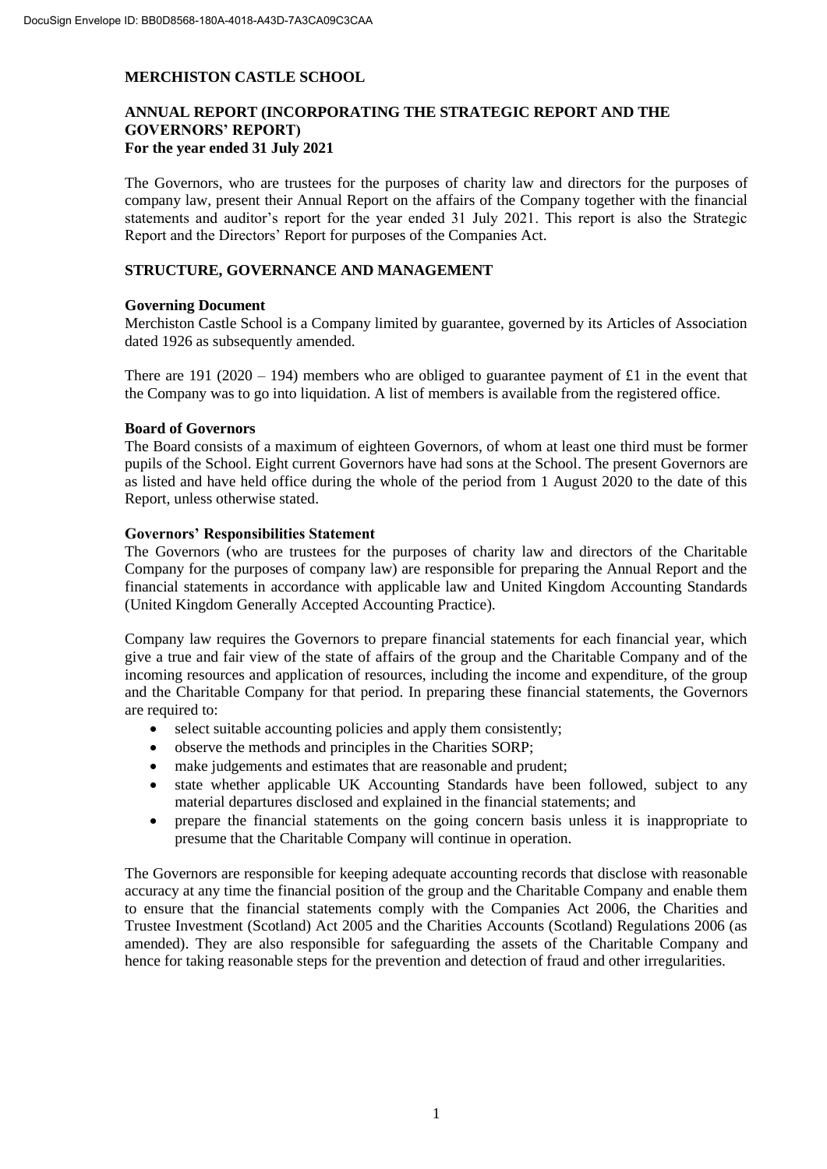# **ANNUAL REPORT (INCORPORATING THE STRATEGIC REPORT AND THE GOVERNORS' REPORT) For the year ended 31 July 2021**

The Governors, who are trustees for the purposes of charity law and directors for the purposes of company law, present their Annual Report on the affairs of the Company together with the financial statements and auditor's report for the year ended 31 July 2021. This report is also the Strategic Report and the Directors' Report for purposes of the Companies Act.

# **STRUCTURE, GOVERNANCE AND MANAGEMENT**

### **Governing Document**

Merchiston Castle School is a Company limited by guarantee, governed by its Articles of Association dated 1926 as subsequently amended.

There are 191 (2020 – 194) members who are obliged to guarantee payment of £1 in the event that the Company was to go into liquidation. A list of members is available from the registered office.

#### **Board of Governors**

The Board consists of a maximum of eighteen Governors, of whom at least one third must be former pupils of the School. Eight current Governors have had sons at the School. The present Governors are as listed and have held office during the whole of the period from 1 August 2020 to the date of this Report, unless otherwise stated.

#### **Governors' Responsibilities Statement**

The Governors (who are trustees for the purposes of charity law and directors of the Charitable Company for the purposes of company law) are responsible for preparing the Annual Report and the financial statements in accordance with applicable law and United Kingdom Accounting Standards (United Kingdom Generally Accepted Accounting Practice).

Company law requires the Governors to prepare financial statements for each financial year, which give a true and fair view of the state of affairs of the group and the Charitable Company and of the incoming resources and application of resources, including the income and expenditure, of the group and the Charitable Company for that period. In preparing these financial statements, the Governors are required to:

- select suitable accounting policies and apply them consistently;
- observe the methods and principles in the Charities SORP;
- make judgements and estimates that are reasonable and prudent;
- state whether applicable UK Accounting Standards have been followed, subject to any material departures disclosed and explained in the financial statements; and
- prepare the financial statements on the going concern basis unless it is inappropriate to presume that the Charitable Company will continue in operation.

The Governors are responsible for keeping adequate accounting records that disclose with reasonable accuracy at any time the financial position of the group and the Charitable Company and enable them to ensure that the financial statements comply with the Companies Act 2006, the Charities and Trustee Investment (Scotland) Act 2005 and the Charities Accounts (Scotland) Regulations 2006 (as amended). They are also responsible for safeguarding the assets of the Charitable Company and hence for taking reasonable steps for the prevention and detection of fraud and other irregularities.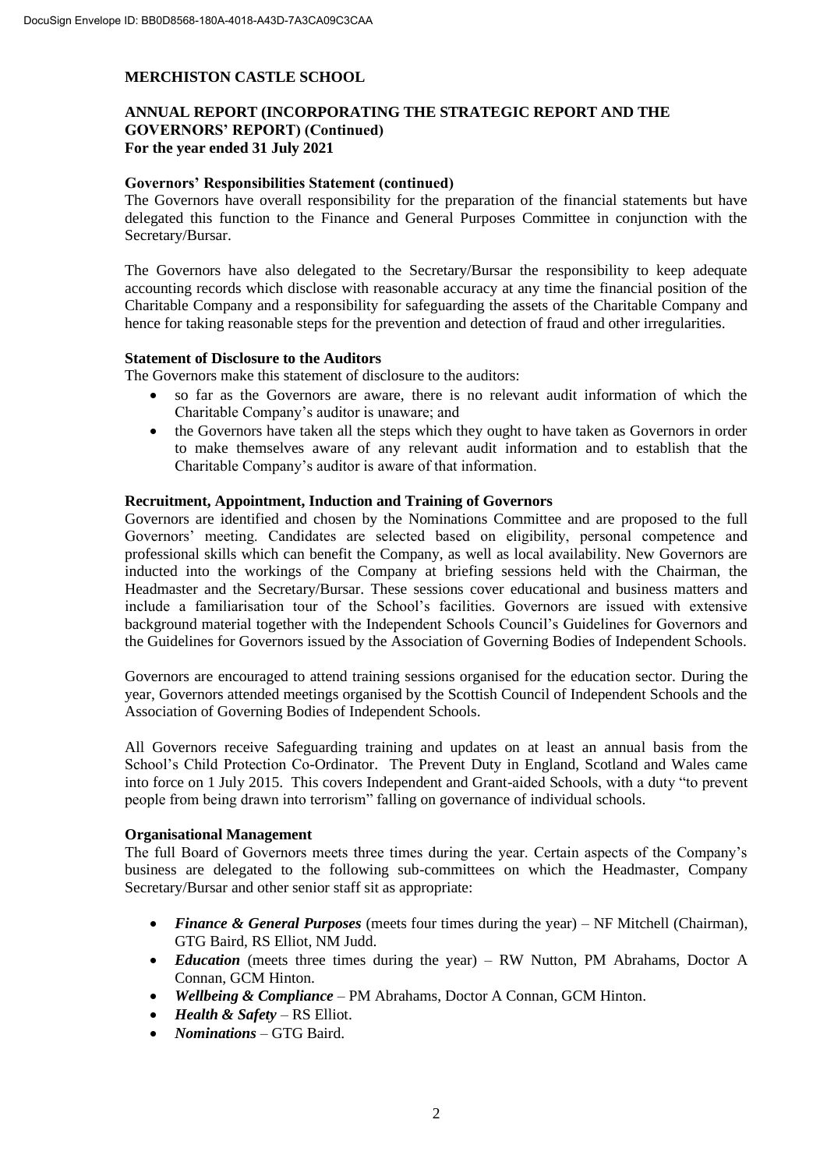# **ANNUAL REPORT (INCORPORATING THE STRATEGIC REPORT AND THE GOVERNORS' REPORT) (Continued) For the year ended 31 July 2021**

#### **Governors' Responsibilities Statement (continued)**

The Governors have overall responsibility for the preparation of the financial statements but have delegated this function to the Finance and General Purposes Committee in conjunction with the Secretary/Bursar.

The Governors have also delegated to the Secretary/Bursar the responsibility to keep adequate accounting records which disclose with reasonable accuracy at any time the financial position of the Charitable Company and a responsibility for safeguarding the assets of the Charitable Company and hence for taking reasonable steps for the prevention and detection of fraud and other irregularities.

#### **Statement of Disclosure to the Auditors**

The Governors make this statement of disclosure to the auditors:

- so far as the Governors are aware, there is no relevant audit information of which the Charitable Company's auditor is unaware; and
- the Governors have taken all the steps which they ought to have taken as Governors in order to make themselves aware of any relevant audit information and to establish that the Charitable Company's auditor is aware of that information.

### **Recruitment, Appointment, Induction and Training of Governors**

Governors are identified and chosen by the Nominations Committee and are proposed to the full Governors' meeting. Candidates are selected based on eligibility, personal competence and professional skills which can benefit the Company, as well as local availability. New Governors are inducted into the workings of the Company at briefing sessions held with the Chairman, the Headmaster and the Secretary/Bursar. These sessions cover educational and business matters and include a familiarisation tour of the School's facilities. Governors are issued with extensive background material together with the Independent Schools Council's Guidelines for Governors and the Guidelines for Governors issued by the Association of Governing Bodies of Independent Schools.

Governors are encouraged to attend training sessions organised for the education sector. During the year, Governors attended meetings organised by the Scottish Council of Independent Schools and the Association of Governing Bodies of Independent Schools.

All Governors receive Safeguarding training and updates on at least an annual basis from the School's Child Protection Co-Ordinator. The Prevent Duty in England, Scotland and Wales came into force on 1 July 2015. This covers Independent and Grant-aided Schools, with a duty "to prevent people from being drawn into terrorism" falling on governance of individual schools.

#### **Organisational Management**

The full Board of Governors meets three times during the year. Certain aspects of the Company's business are delegated to the following sub-committees on which the Headmaster, Company Secretary/Bursar and other senior staff sit as appropriate:

- *Finance & General Purposes* (meets four times during the year) NF Mitchell (Chairman), GTG Baird, RS Elliot, NM Judd.
- *Education* (meets three times during the year) RW Nutton, PM Abrahams, Doctor A Connan, GCM Hinton.
- *Wellbeing & Compliance* PM Abrahams, Doctor A Connan, GCM Hinton.
- *Health & Safety* RS Elliot.
- *Nominations* GTG Baird.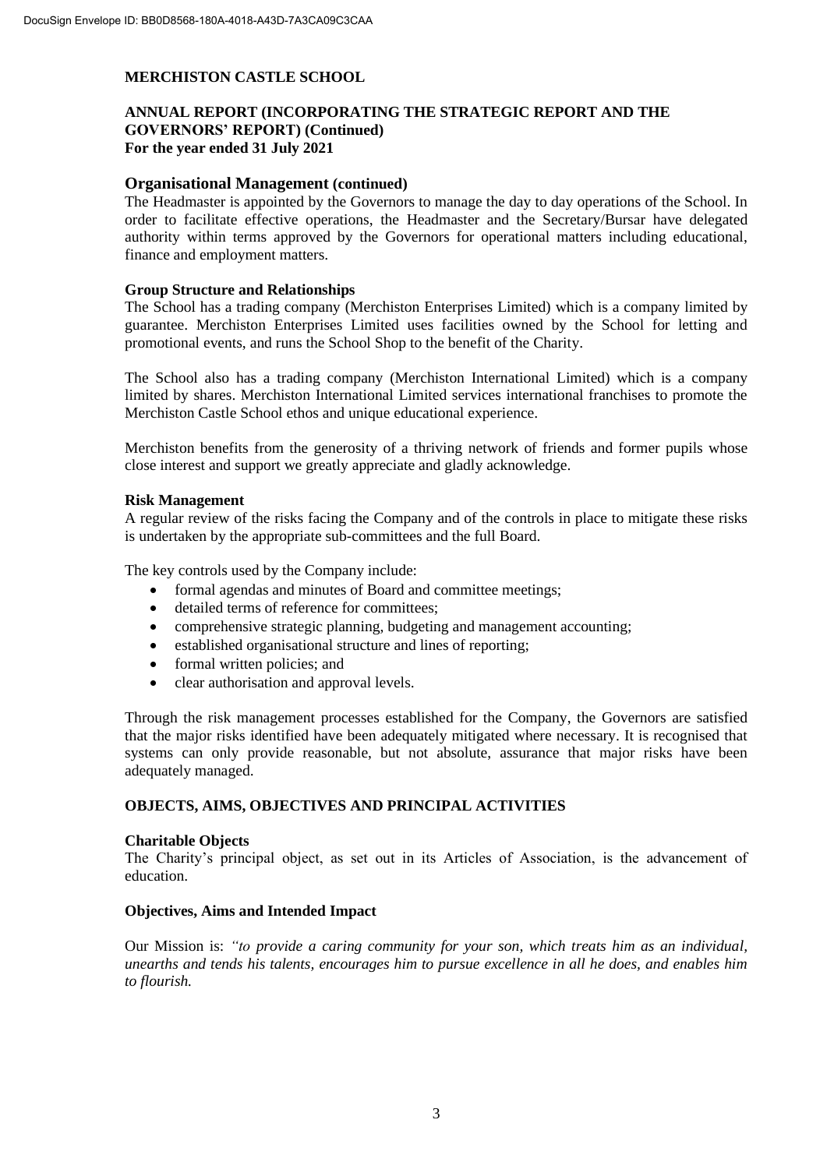# **ANNUAL REPORT (INCORPORATING THE STRATEGIC REPORT AND THE GOVERNORS' REPORT) (Continued) For the year ended 31 July 2021**

### **Organisational Management (continued)**

The Headmaster is appointed by the Governors to manage the day to day operations of the School. In order to facilitate effective operations, the Headmaster and the Secretary/Bursar have delegated authority within terms approved by the Governors for operational matters including educational, finance and employment matters.

#### **Group Structure and Relationships**

The School has a trading company (Merchiston Enterprises Limited) which is a company limited by guarantee. Merchiston Enterprises Limited uses facilities owned by the School for letting and promotional events, and runs the School Shop to the benefit of the Charity.

The School also has a trading company (Merchiston International Limited) which is a company limited by shares. Merchiston International Limited services international franchises to promote the Merchiston Castle School ethos and unique educational experience.

Merchiston benefits from the generosity of a thriving network of friends and former pupils whose close interest and support we greatly appreciate and gladly acknowledge.

#### **Risk Management**

A regular review of the risks facing the Company and of the controls in place to mitigate these risks is undertaken by the appropriate sub-committees and the full Board.

The key controls used by the Company include:

- formal agendas and minutes of Board and committee meetings;
- detailed terms of reference for committees;
- comprehensive strategic planning, budgeting and management accounting;
- established organisational structure and lines of reporting;
- formal written policies; and
- clear authorisation and approval levels.

Through the risk management processes established for the Company, the Governors are satisfied that the major risks identified have been adequately mitigated where necessary. It is recognised that systems can only provide reasonable, but not absolute, assurance that major risks have been adequately managed.

# **OBJECTS, AIMS, OBJECTIVES AND PRINCIPAL ACTIVITIES**

#### **Charitable Objects**

The Charity's principal object, as set out in its Articles of Association, is the advancement of education.

#### **Objectives, Aims and Intended Impact**

Our Mission is: *"to provide a caring community for your son, which treats him as an individual, unearths and tends his talents, encourages him to pursue excellence in all he does, and enables him to flourish.*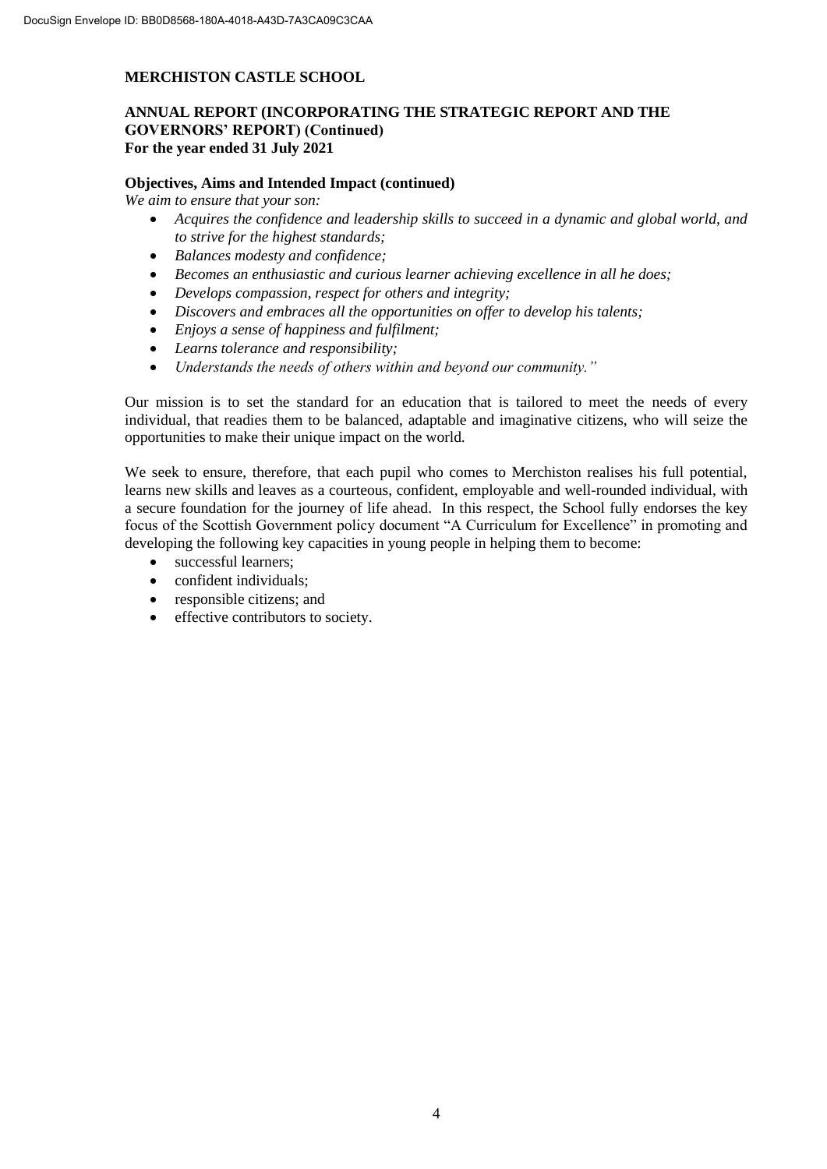# **ANNUAL REPORT (INCORPORATING THE STRATEGIC REPORT AND THE GOVERNORS' REPORT) (Continued) For the year ended 31 July 2021**

#### **Objectives, Aims and Intended Impact (continued)**

*We aim to ensure that your son:*

- *Acquires the confidence and leadership skills to succeed in a dynamic and global world, and to strive for the highest standards;*
- *Balances modesty and confidence;*
- *Becomes an enthusiastic and curious learner achieving excellence in all he does;*
- *Develops compassion, respect for others and integrity;*
- *Discovers and embraces all the opportunities on offer to develop his talents;*
- *Enjoys a sense of happiness and fulfilment;*
- *Learns tolerance and responsibility;*
- *Understands the needs of others within and beyond our community."*

Our mission is to set the standard for an education that is tailored to meet the needs of every individual, that readies them to be balanced, adaptable and imaginative citizens, who will seize the opportunities to make their unique impact on the world.

We seek to ensure, therefore, that each pupil who comes to Merchiston realises his full potential, learns new skills and leaves as a courteous, confident, employable and well-rounded individual, with a secure foundation for the journey of life ahead. In this respect, the School fully endorses the key focus of the Scottish Government policy document "A Curriculum for Excellence" in promoting and developing the following key capacities in young people in helping them to become:

- successful learners:
- confident individuals;
- responsible citizens; and
- effective contributors to society.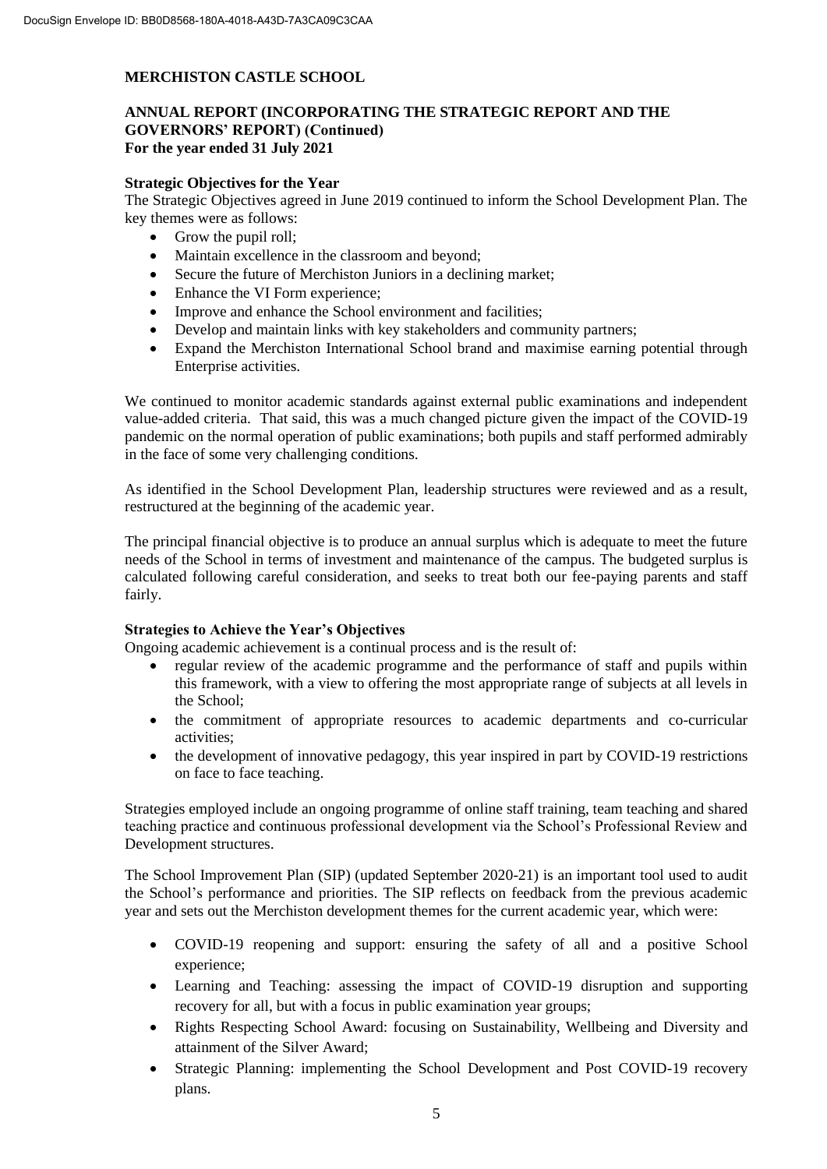# **ANNUAL REPORT (INCORPORATING THE STRATEGIC REPORT AND THE GOVERNORS' REPORT) (Continued) For the year ended 31 July 2021**

# **Strategic Objectives for the Year**

The Strategic Objectives agreed in June 2019 continued to inform the School Development Plan. The key themes were as follows:

- Grow the pupil roll;
- Maintain excellence in the classroom and beyond;
- Secure the future of Merchiston Juniors in a declining market;
- Enhance the VI Form experience;
- Improve and enhance the School environment and facilities;
- Develop and maintain links with key stakeholders and community partners;
- Expand the Merchiston International School brand and maximise earning potential through Enterprise activities.

We continued to monitor academic standards against external public examinations and independent value-added criteria. That said, this was a much changed picture given the impact of the COVID-19 pandemic on the normal operation of public examinations; both pupils and staff performed admirably in the face of some very challenging conditions.

As identified in the School Development Plan, leadership structures were reviewed and as a result, restructured at the beginning of the academic year.

The principal financial objective is to produce an annual surplus which is adequate to meet the future needs of the School in terms of investment and maintenance of the campus. The budgeted surplus is calculated following careful consideration, and seeks to treat both our fee-paying parents and staff fairly.

### **Strategies to Achieve the Year's Objectives**

Ongoing academic achievement is a continual process and is the result of:

- regular review of the academic programme and the performance of staff and pupils within this framework, with a view to offering the most appropriate range of subjects at all levels in the School;
- the commitment of appropriate resources to academic departments and co-curricular activities;
- the development of innovative pedagogy, this year inspired in part by COVID-19 restrictions on face to face teaching.

Strategies employed include an ongoing programme of online staff training, team teaching and shared teaching practice and continuous professional development via the School's Professional Review and Development structures.

The School Improvement Plan (SIP) (updated September 2020-21) is an important tool used to audit the School's performance and priorities. The SIP reflects on feedback from the previous academic year and sets out the Merchiston development themes for the current academic year, which were:

- COVID-19 reopening and support: ensuring the safety of all and a positive School experience;
- Learning and Teaching: assessing the impact of COVID-19 disruption and supporting recovery for all, but with a focus in public examination year groups;
- Rights Respecting School Award: focusing on Sustainability, Wellbeing and Diversity and attainment of the Silver Award;
- Strategic Planning: implementing the School Development and Post COVID-19 recovery plans.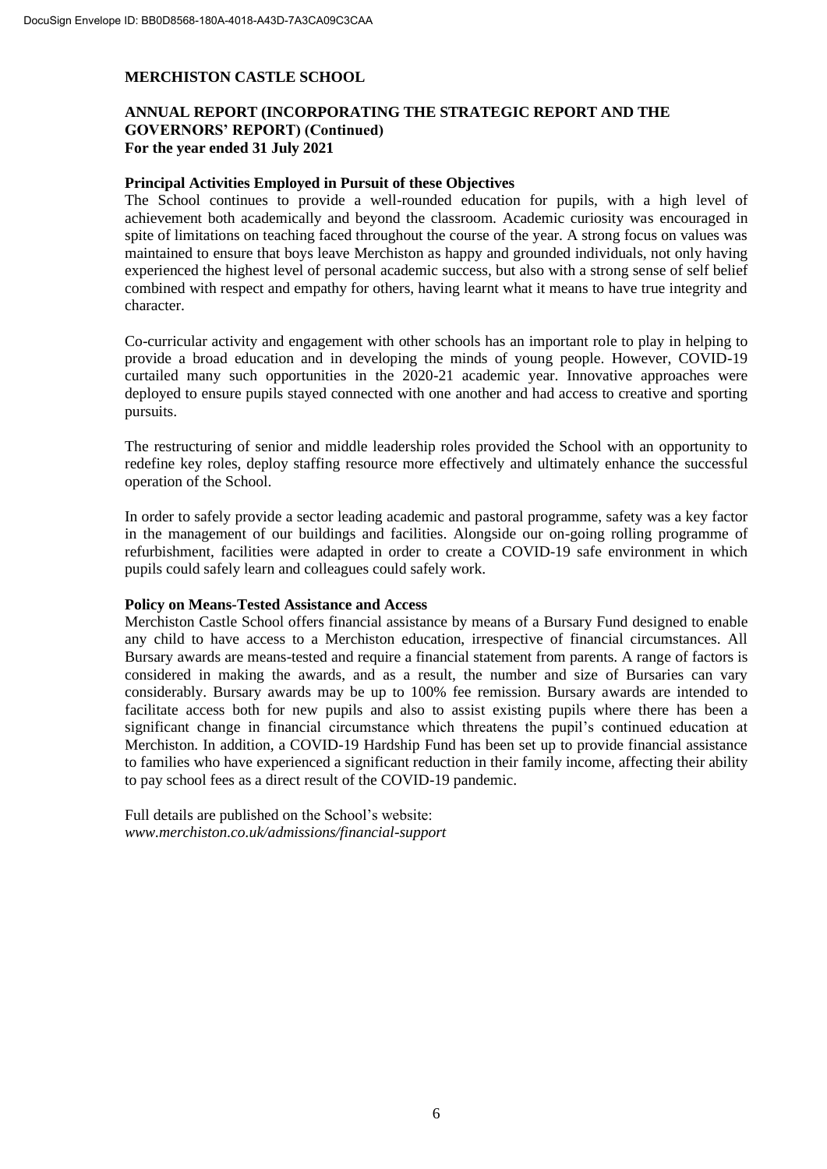# **ANNUAL REPORT (INCORPORATING THE STRATEGIC REPORT AND THE GOVERNORS' REPORT) (Continued) For the year ended 31 July 2021**

#### **Principal Activities Employed in Pursuit of these Objectives**

The School continues to provide a well-rounded education for pupils, with a high level of achievement both academically and beyond the classroom. Academic curiosity was encouraged in spite of limitations on teaching faced throughout the course of the year. A strong focus on values was maintained to ensure that boys leave Merchiston as happy and grounded individuals, not only having experienced the highest level of personal academic success, but also with a strong sense of self belief combined with respect and empathy for others, having learnt what it means to have true integrity and character.

Co-curricular activity and engagement with other schools has an important role to play in helping to provide a broad education and in developing the minds of young people. However, COVID-19 curtailed many such opportunities in the 2020-21 academic year. Innovative approaches were deployed to ensure pupils stayed connected with one another and had access to creative and sporting pursuits.

The restructuring of senior and middle leadership roles provided the School with an opportunity to redefine key roles, deploy staffing resource more effectively and ultimately enhance the successful operation of the School.

In order to safely provide a sector leading academic and pastoral programme, safety was a key factor in the management of our buildings and facilities. Alongside our on-going rolling programme of refurbishment, facilities were adapted in order to create a COVID-19 safe environment in which pupils could safely learn and colleagues could safely work.

#### **Policy on Means-Tested Assistance and Access**

Merchiston Castle School offers financial assistance by means of a Bursary Fund designed to enable any child to have access to a Merchiston education, irrespective of financial circumstances. All Bursary awards are means-tested and require a financial statement from parents. A range of factors is considered in making the awards, and as a result, the number and size of Bursaries can vary considerably. Bursary awards may be up to 100% fee remission. Bursary awards are intended to facilitate access both for new pupils and also to assist existing pupils where there has been a significant change in financial circumstance which threatens the pupil's continued education at Merchiston. In addition, a COVID-19 Hardship Fund has been set up to provide financial assistance to families who have experienced a significant reduction in their family income, affecting their ability to pay school fees as a direct result of the COVID-19 pandemic.

Full details are published on the School's website: *www.merchiston.co.uk/admissions/financial-support*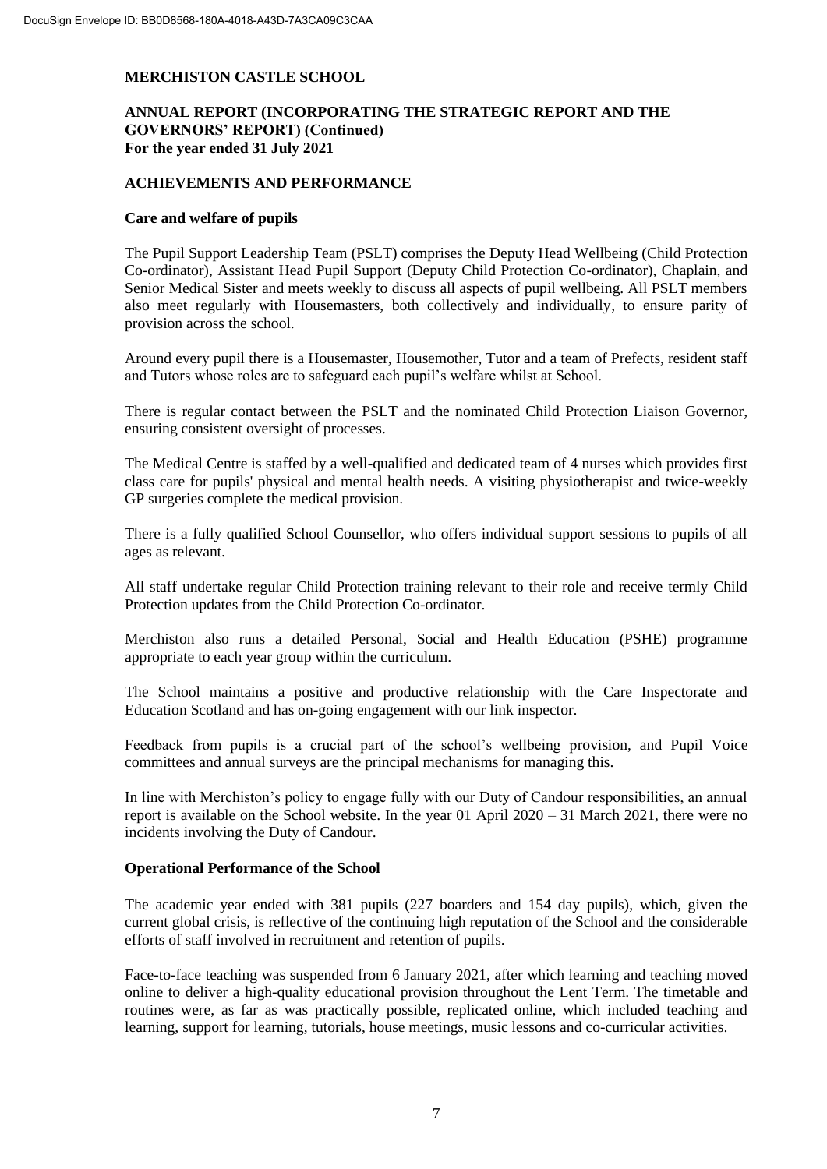# **ANNUAL REPORT (INCORPORATING THE STRATEGIC REPORT AND THE GOVERNORS' REPORT) (Continued) For the year ended 31 July 2021**

### **ACHIEVEMENTS AND PERFORMANCE**

#### **Care and welfare of pupils**

The Pupil Support Leadership Team (PSLT) comprises the Deputy Head Wellbeing (Child Protection Co-ordinator), Assistant Head Pupil Support (Deputy Child Protection Co-ordinator), Chaplain, and Senior Medical Sister and meets weekly to discuss all aspects of pupil wellbeing. All PSLT members also meet regularly with Housemasters, both collectively and individually, to ensure parity of provision across the school.

Around every pupil there is a Housemaster, Housemother, Tutor and a team of Prefects, resident staff and Tutors whose roles are to safeguard each pupil's welfare whilst at School.

There is regular contact between the PSLT and the nominated Child Protection Liaison Governor, ensuring consistent oversight of processes.

The Medical Centre is staffed by a well-qualified and dedicated team of 4 nurses which provides first class care for pupils' physical and mental health needs. A visiting physiotherapist and twice-weekly GP surgeries complete the medical provision.

There is a fully qualified School Counsellor, who offers individual support sessions to pupils of all ages as relevant.

All staff undertake regular Child Protection training relevant to their role and receive termly Child Protection updates from the Child Protection Co-ordinator.

Merchiston also runs a detailed Personal, Social and Health Education (PSHE) programme appropriate to each year group within the curriculum.

The School maintains a positive and productive relationship with the Care Inspectorate and Education Scotland and has on-going engagement with our link inspector.

Feedback from pupils is a crucial part of the school's wellbeing provision, and Pupil Voice committees and annual surveys are the principal mechanisms for managing this.

In line with Merchiston's policy to engage fully with our Duty of Candour responsibilities, an annual report is available on the School website. In the year 01 April 2020 – 31 March 2021, there were no incidents involving the Duty of Candour.

### **Operational Performance of the School**

The academic year ended with 381 pupils (227 boarders and 154 day pupils), which, given the current global crisis, is reflective of the continuing high reputation of the School and the considerable efforts of staff involved in recruitment and retention of pupils.

Face-to-face teaching was suspended from 6 January 2021, after which learning and teaching moved online to deliver a high-quality educational provision throughout the Lent Term. The timetable and routines were, as far as was practically possible, replicated online, which included teaching and learning, support for learning, tutorials, house meetings, music lessons and co-curricular activities.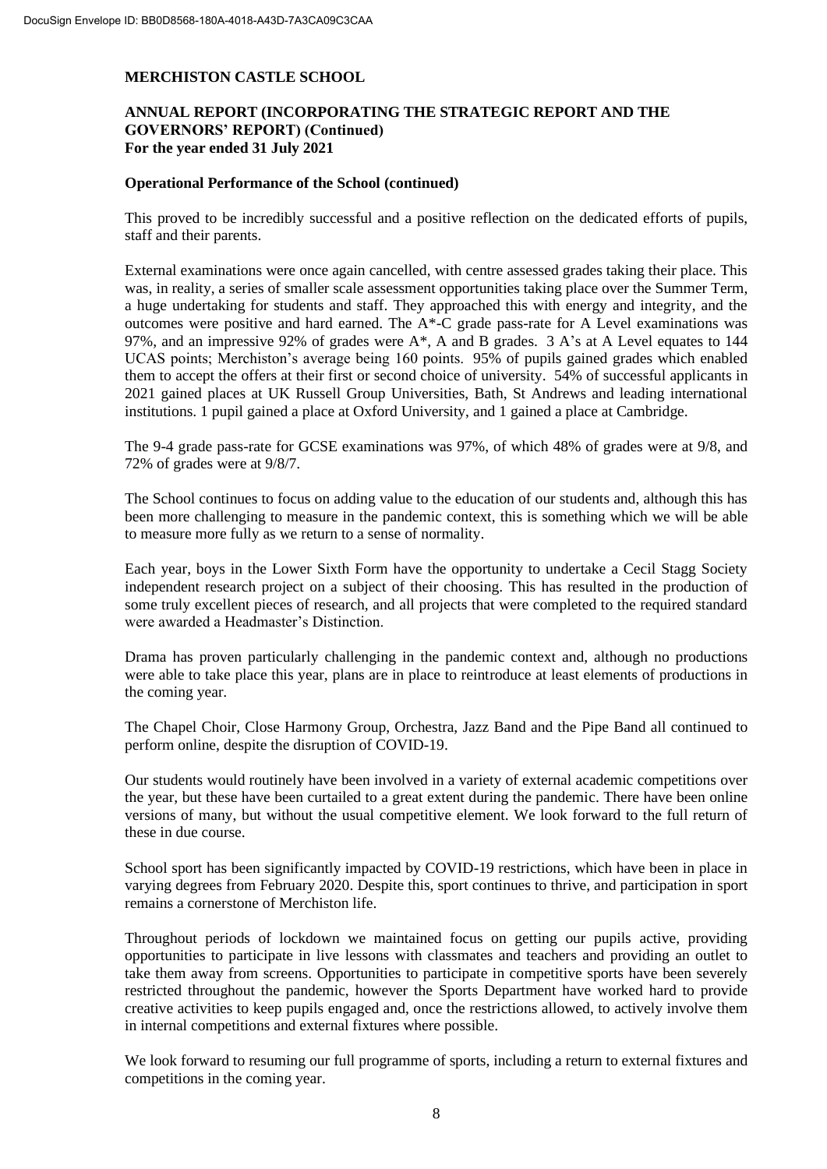# **ANNUAL REPORT (INCORPORATING THE STRATEGIC REPORT AND THE GOVERNORS' REPORT) (Continued) For the year ended 31 July 2021**

#### **Operational Performance of the School (continued)**

This proved to be incredibly successful and a positive reflection on the dedicated efforts of pupils, staff and their parents.

External examinations were once again cancelled, with centre assessed grades taking their place. This was, in reality, a series of smaller scale assessment opportunities taking place over the Summer Term, a huge undertaking for students and staff. They approached this with energy and integrity, and the outcomes were positive and hard earned. The  $A^*$ -C grade pass-rate for A Level examinations was 97%, and an impressive 92% of grades were A\*, A and B grades. 3 A's at A Level equates to 144 UCAS points; Merchiston's average being 160 points. 95% of pupils gained grades which enabled them to accept the offers at their first or second choice of university. 54% of successful applicants in 2021 gained places at UK Russell Group Universities, Bath, St Andrews and leading international institutions. 1 pupil gained a place at Oxford University, and 1 gained a place at Cambridge.

The 9-4 grade pass-rate for GCSE examinations was 97%, of which 48% of grades were at 9/8, and 72% of grades were at 9/8/7.

The School continues to focus on adding value to the education of our students and, although this has been more challenging to measure in the pandemic context, this is something which we will be able to measure more fully as we return to a sense of normality.

Each year, boys in the Lower Sixth Form have the opportunity to undertake a Cecil Stagg Society independent research project on a subject of their choosing. This has resulted in the production of some truly excellent pieces of research, and all projects that were completed to the required standard were awarded a Headmaster's Distinction.

Drama has proven particularly challenging in the pandemic context and, although no productions were able to take place this year, plans are in place to reintroduce at least elements of productions in the coming year.

The Chapel Choir, Close Harmony Group, Orchestra, Jazz Band and the Pipe Band all continued to perform online, despite the disruption of COVID-19.

Our students would routinely have been involved in a variety of external academic competitions over the year, but these have been curtailed to a great extent during the pandemic. There have been online versions of many, but without the usual competitive element. We look forward to the full return of these in due course.

School sport has been significantly impacted by COVID-19 restrictions, which have been in place in varying degrees from February 2020. Despite this, sport continues to thrive, and participation in sport remains a cornerstone of Merchiston life.

Throughout periods of lockdown we maintained focus on getting our pupils active, providing opportunities to participate in live lessons with classmates and teachers and providing an outlet to take them away from screens. Opportunities to participate in competitive sports have been severely restricted throughout the pandemic, however the Sports Department have worked hard to provide creative activities to keep pupils engaged and, once the restrictions allowed, to actively involve them in internal competitions and external fixtures where possible.

We look forward to resuming our full programme of sports, including a return to external fixtures and competitions in the coming year.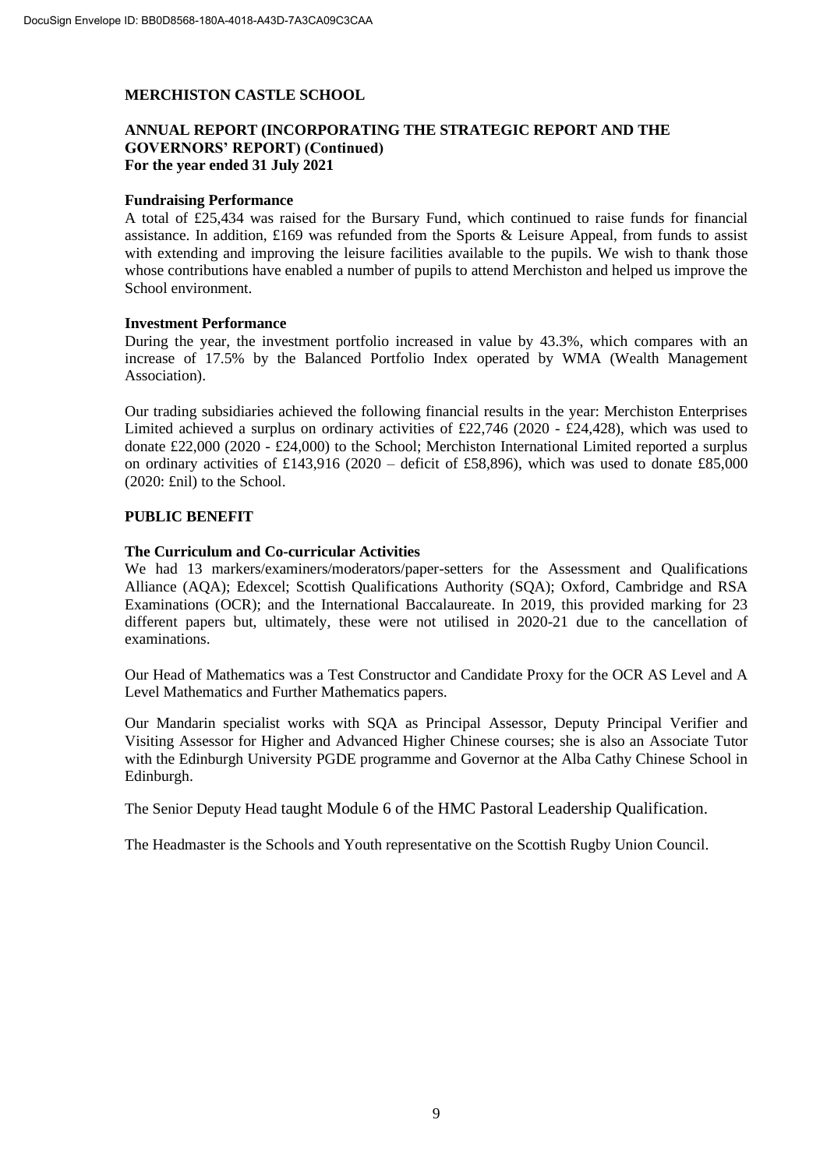## **ANNUAL REPORT (INCORPORATING THE STRATEGIC REPORT AND THE GOVERNORS' REPORT) (Continued) For the year ended 31 July 2021**

#### **Fundraising Performance**

A total of £25,434 was raised for the Bursary Fund, which continued to raise funds for financial assistance. In addition, £169 was refunded from the Sports & Leisure Appeal, from funds to assist with extending and improving the leisure facilities available to the pupils. We wish to thank those whose contributions have enabled a number of pupils to attend Merchiston and helped us improve the School environment.

#### **Investment Performance**

During the year, the investment portfolio increased in value by 43.3%, which compares with an increase of 17.5% by the Balanced Portfolio Index operated by WMA (Wealth Management Association).

Our trading subsidiaries achieved the following financial results in the year: Merchiston Enterprises Limited achieved a surplus on ordinary activities of £22,746 (2020 - £24,428), which was used to donate £22,000 (2020 - £24,000) to the School; Merchiston International Limited reported a surplus on ordinary activities of £143,916 (2020 – deficit of £58,896), which was used to donate £85,000 (2020: £nil) to the School.

# **PUBLIC BENEFIT**

#### **The Curriculum and Co-curricular Activities**

We had 13 markers/examiners/moderators/paper-setters for the Assessment and Qualifications Alliance (AQA); Edexcel; Scottish Qualifications Authority (SQA); Oxford, Cambridge and RSA Examinations (OCR); and the International Baccalaureate. In 2019, this provided marking for 23 different papers but, ultimately, these were not utilised in 2020-21 due to the cancellation of examinations.

Our Head of Mathematics was a Test Constructor and Candidate Proxy for the OCR AS Level and A Level Mathematics and Further Mathematics papers.

Our Mandarin specialist works with SQA as Principal Assessor, Deputy Principal Verifier and Visiting Assessor for Higher and Advanced Higher Chinese courses; she is also an Associate Tutor with the Edinburgh University PGDE programme and Governor at the Alba Cathy Chinese School in Edinburgh.

The Senior Deputy Head taught Module 6 of the HMC Pastoral Leadership Qualification.

The Headmaster is the Schools and Youth representative on the Scottish Rugby Union Council.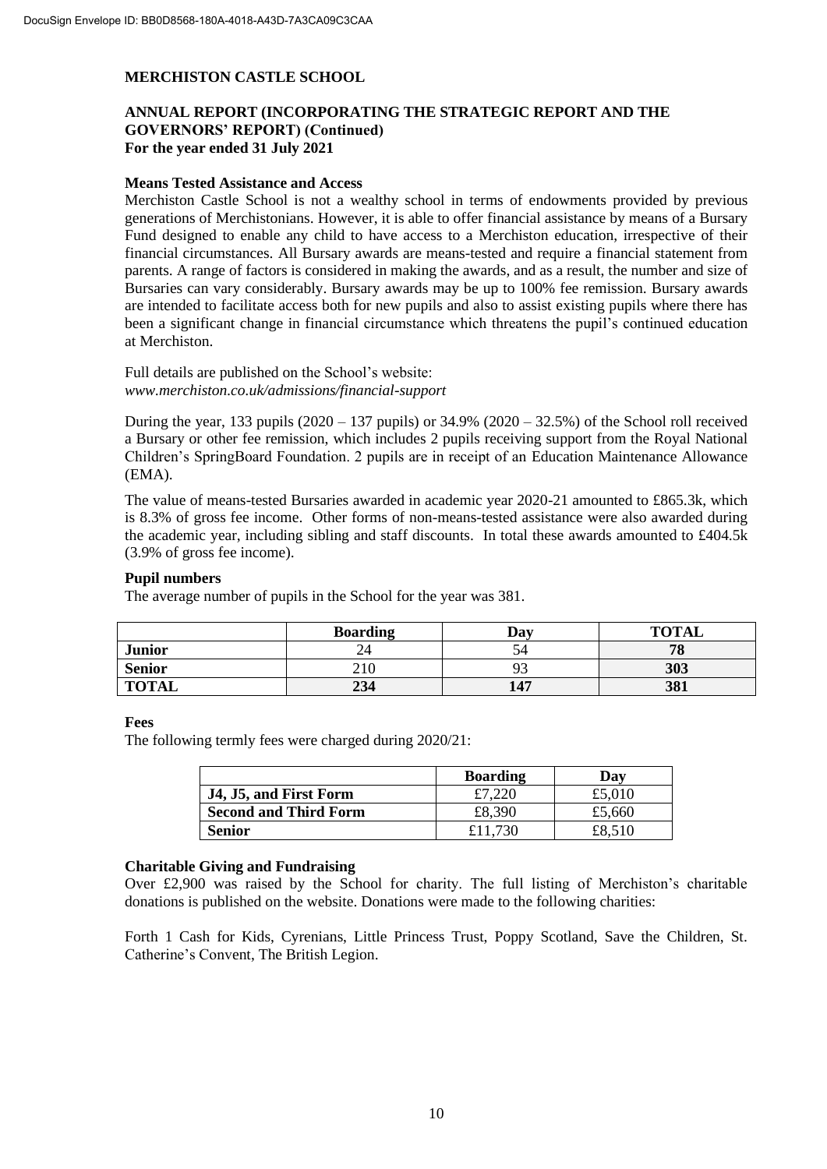# **ANNUAL REPORT (INCORPORATING THE STRATEGIC REPORT AND THE GOVERNORS' REPORT) (Continued) For the year ended 31 July 2021**

#### **Means Tested Assistance and Access**

Merchiston Castle School is not a wealthy school in terms of endowments provided by previous generations of Merchistonians. However, it is able to offer financial assistance by means of a Bursary Fund designed to enable any child to have access to a Merchiston education, irrespective of their financial circumstances. All Bursary awards are means-tested and require a financial statement from parents. A range of factors is considered in making the awards, and as a result, the number and size of Bursaries can vary considerably. Bursary awards may be up to 100% fee remission. Bursary awards are intended to facilitate access both for new pupils and also to assist existing pupils where there has been a significant change in financial circumstance which threatens the pupil's continued education at Merchiston.

Full details are published on the School's website: *www.merchiston.co.uk/admissions/financial-support*

During the year, 133 pupils  $(2020 - 137$  pupils) or  $34.9\%$   $(2020 - 32.5\%)$  of the School roll received a Bursary or other fee remission, which includes 2 pupils receiving support from the Royal National Children's SpringBoard Foundation. 2 pupils are in receipt of an Education Maintenance Allowance (EMA).

The value of means-tested Bursaries awarded in academic year 2020-21 amounted to £865.3k, which is 8.3% of gross fee income. Other forms of non-means-tested assistance were also awarded during the academic year, including sibling and staff discounts. In total these awards amounted to £404.5k (3.9% of gross fee income).

### **Pupil numbers**

The average number of pupils in the School for the year was 381.

|               | <b>Boarding</b> | Dav | <b>TOTAL</b> |
|---------------|-----------------|-----|--------------|
| <b>Junior</b> |                 | ٦4  | 70<br>70     |
| <b>Senior</b> | 210             |     | 303          |
| <b>TOTAL</b>  | 234             | 147 | 381          |

#### **Fees**

The following termly fees were charged during 2020/21:

|                              | <b>Boarding</b> | Dav    |
|------------------------------|-----------------|--------|
| J4, J5, and First Form       |                 | £5,010 |
| <b>Second and Third Form</b> | £8,390          | £5,660 |
| <b>Senior</b>                |                 | £8.510 |

#### **Charitable Giving and Fundraising**

Over £2,900 was raised by the School for charity. The full listing of Merchiston's charitable donations is published on the website. Donations were made to the following charities:

Forth 1 Cash for Kids, Cyrenians, Little Princess Trust, Poppy Scotland, Save the Children, St. Catherine's Convent, The British Legion.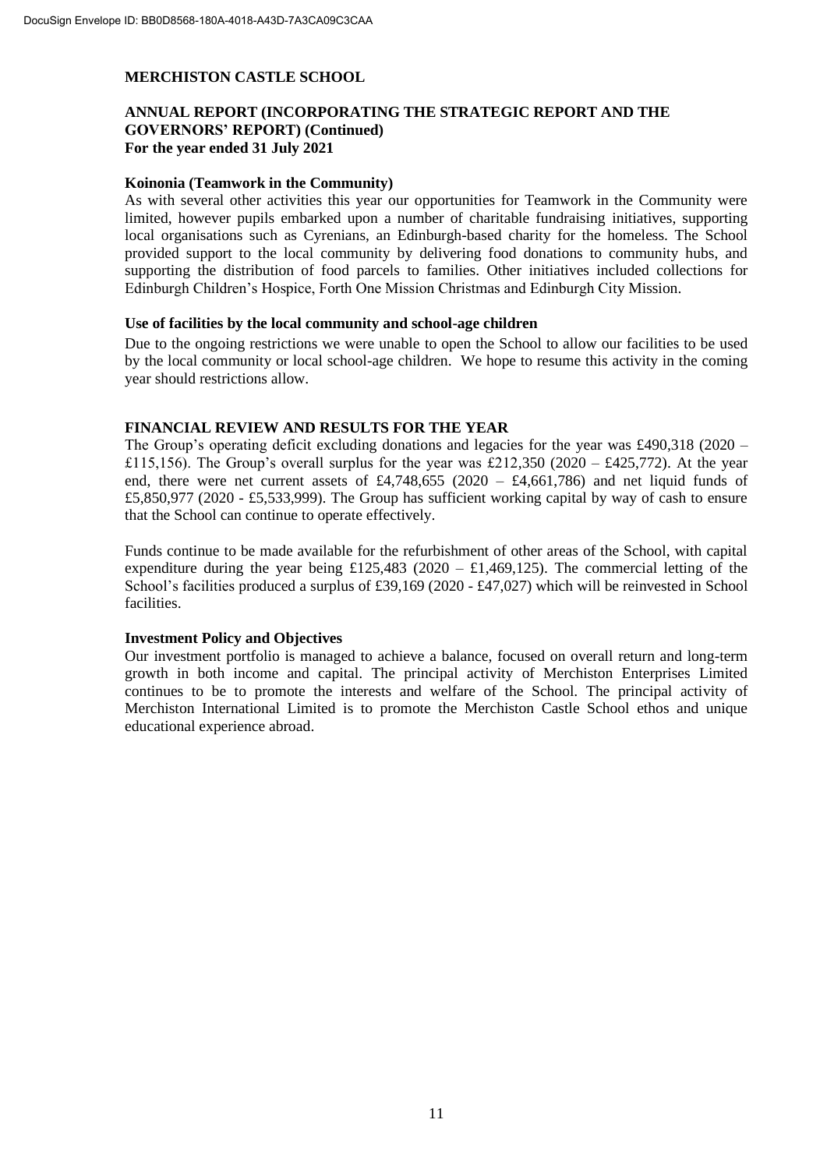# **ANNUAL REPORT (INCORPORATING THE STRATEGIC REPORT AND THE GOVERNORS' REPORT) (Continued) For the year ended 31 July 2021**

#### **Koinonia (Teamwork in the Community)**

As with several other activities this year our opportunities for Teamwork in the Community were limited, however pupils embarked upon a number of charitable fundraising initiatives, supporting local organisations such as Cyrenians, an Edinburgh-based charity for the homeless. The School provided support to the local community by delivering food donations to community hubs, and supporting the distribution of food parcels to families. Other initiatives included collections for Edinburgh Children's Hospice, Forth One Mission Christmas and Edinburgh City Mission.

#### **Use of facilities by the local community and school-age children**

Due to the ongoing restrictions we were unable to open the School to allow our facilities to be used by the local community or local school-age children. We hope to resume this activity in the coming year should restrictions allow.

#### **FINANCIAL REVIEW AND RESULTS FOR THE YEAR**

The Group's operating deficit excluding donations and legacies for the year was £490,318 (2020 – £115,156). The Group's overall surplus for the year was £212,350 (2020 – £425,772). At the year end, there were net current assets of £4,748,655 (2020 – £4,661,786) and net liquid funds of £5,850,977 (2020 - £5,533,999). The Group has sufficient working capital by way of cash to ensure that the School can continue to operate effectively.

Funds continue to be made available for the refurbishment of other areas of the School, with capital expenditure during the year being  $£125,483$  (2020 – £1,469,125). The commercial letting of the School's facilities produced a surplus of £39,169 (2020 - £47,027) which will be reinvested in School facilities.

#### **Investment Policy and Objectives**

Our investment portfolio is managed to achieve a balance, focused on overall return and long-term growth in both income and capital. The principal activity of Merchiston Enterprises Limited continues to be to promote the interests and welfare of the School. The principal activity of Merchiston International Limited is to promote the Merchiston Castle School ethos and unique educational experience abroad.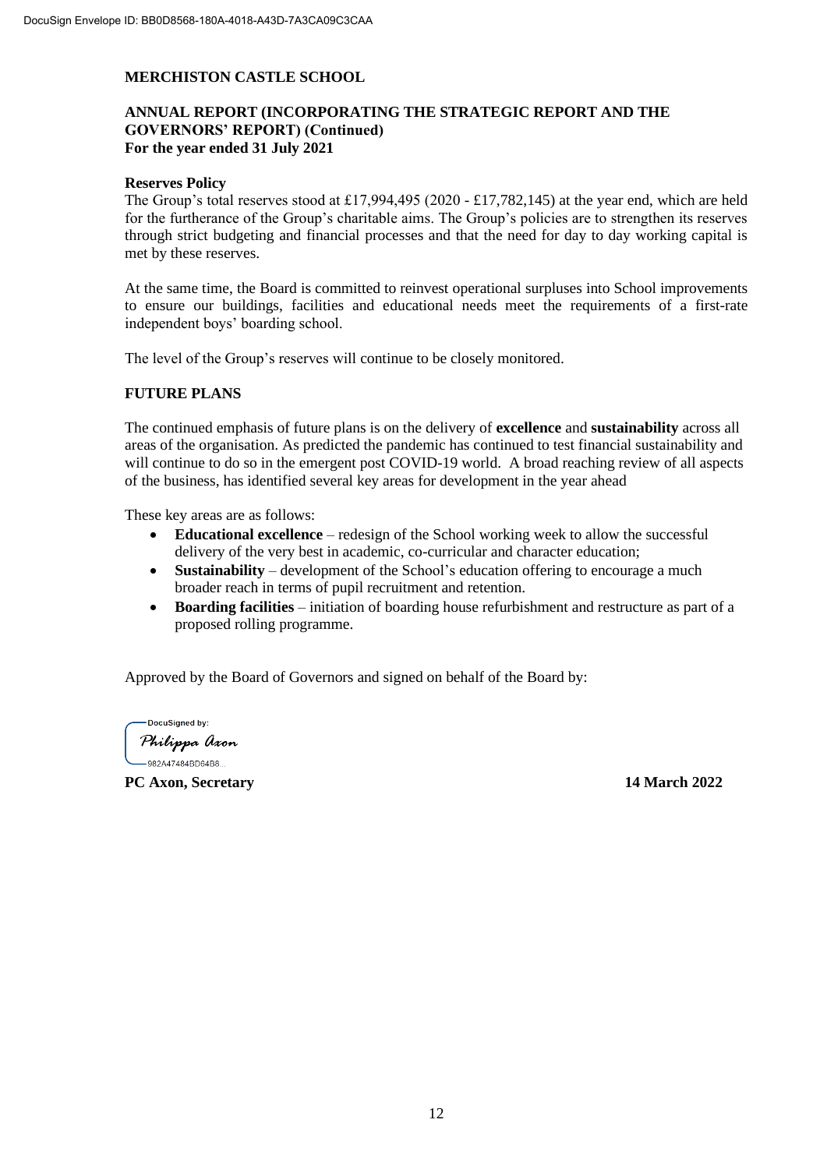# **ANNUAL REPORT (INCORPORATING THE STRATEGIC REPORT AND THE GOVERNORS' REPORT) (Continued) For the year ended 31 July 2021**

#### **Reserves Policy**

The Group's total reserves stood at £17,994,495 (2020 - £17,782,145) at the year end, which are held for the furtherance of the Group's charitable aims. The Group's policies are to strengthen its reserves through strict budgeting and financial processes and that the need for day to day working capital is met by these reserves.

At the same time, the Board is committed to reinvest operational surpluses into School improvements to ensure our buildings, facilities and educational needs meet the requirements of a first-rate independent boys' boarding school.

The level of the Group's reserves will continue to be closely monitored.

### **FUTURE PLANS**

The continued emphasis of future plans is on the delivery of **excellence** and **sustainability** across all areas of the organisation. As predicted the pandemic has continued to test financial sustainability and will continue to do so in the emergent post COVID-19 world. A broad reaching review of all aspects of the business, has identified several key areas for development in the year ahead

These key areas are as follows:

- **Educational excellence** redesign of the School working week to allow the successful delivery of the very best in academic, co-curricular and character education;
- **Sustainability** development of the School's education offering to encourage a much broader reach in terms of pupil recruitment and retention.
- **Boarding facilities** initiation of boarding house refurbishment and restructure as part of a proposed rolling programme.

Approved by the Board of Governors and signed on behalf of the Board by:

DocuSianed by:

Philippa Axon -982A47484BD64B8...

**PC Axon, Secretary 14 March 2022**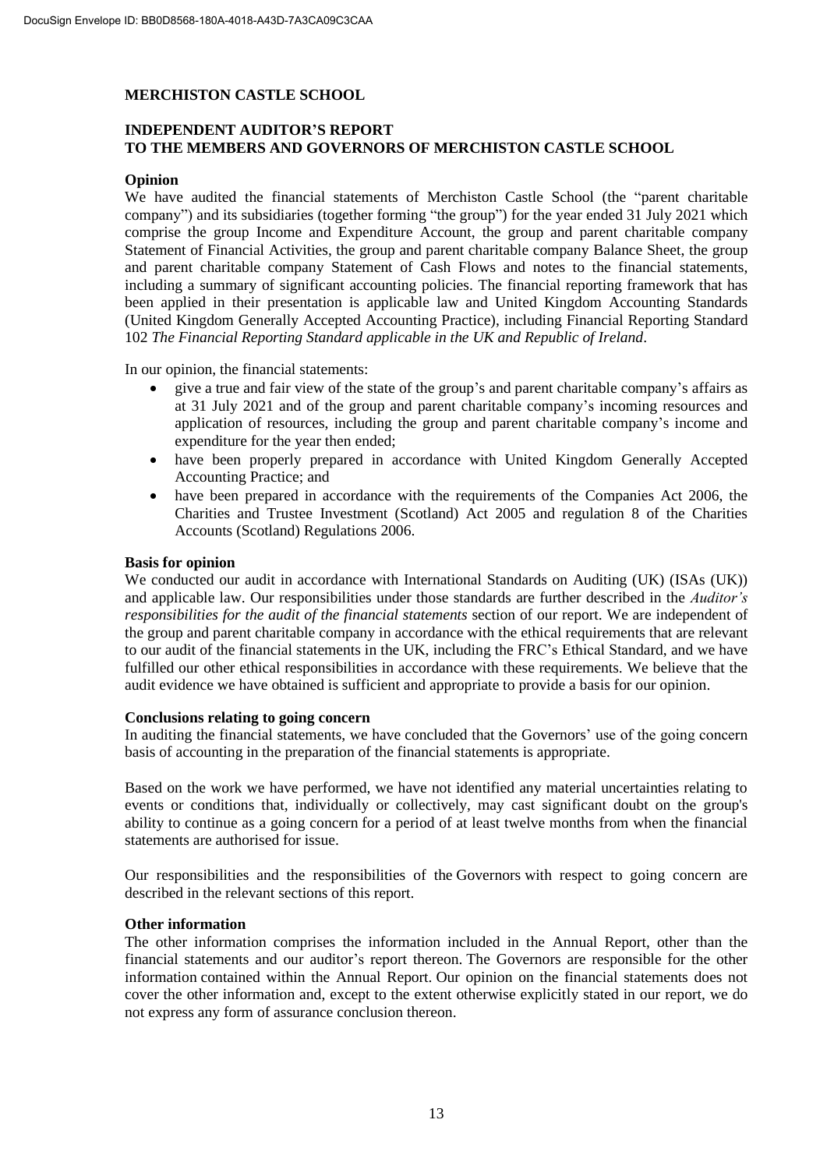# **INDEPENDENT AUDITOR'S REPORT TO THE MEMBERS AND GOVERNORS OF MERCHISTON CASTLE SCHOOL**

#### **Opinion**

We have audited the financial statements of Merchiston Castle School (the "parent charitable company") and its subsidiaries (together forming "the group") for the year ended 31 July 2021 which comprise the group Income and Expenditure Account, the group and parent charitable company Statement of Financial Activities, the group and parent charitable company Balance Sheet, the group and parent charitable company Statement of Cash Flows and notes to the financial statements, including a summary of significant accounting policies. The financial reporting framework that has been applied in their presentation is applicable law and United Kingdom Accounting Standards (United Kingdom Generally Accepted Accounting Practice), including Financial Reporting Standard 102 *The Financial Reporting Standard applicable in the UK and Republic of Ireland*.

In our opinion, the financial statements:

- give a true and fair view of the state of the group's and parent charitable company's affairs as at 31 July 2021 and of the group and parent charitable company's incoming resources and application of resources, including the group and parent charitable company's income and expenditure for the year then ended;
- have been properly prepared in accordance with United Kingdom Generally Accepted Accounting Practice; and
- have been prepared in accordance with the requirements of the Companies Act 2006, the Charities and Trustee Investment (Scotland) Act 2005 and regulation 8 of the Charities Accounts (Scotland) Regulations 2006.

#### **Basis for opinion**

We conducted our audit in accordance with International Standards on Auditing (UK) (ISAs (UK)) and applicable law. Our responsibilities under those standards are further described in the *Auditor's responsibilities for the audit of the financial statements* section of our report. We are independent of the group and parent charitable company in accordance with the ethical requirements that are relevant to our audit of the financial statements in the UK, including the FRC's Ethical Standard, and we have fulfilled our other ethical responsibilities in accordance with these requirements. We believe that the audit evidence we have obtained is sufficient and appropriate to provide a basis for our opinion.

#### **Conclusions relating to going concern**

In auditing the financial statements, we have concluded that the Governors' use of the going concern basis of accounting in the preparation of the financial statements is appropriate.

Based on the work we have performed, we have not identified any material uncertainties relating to events or conditions that, individually or collectively, may cast significant doubt on the group's ability to continue as a going concern for a period of at least twelve months from when the financial statements are authorised for issue.

Our responsibilities and the responsibilities of the Governors with respect to going concern are described in the relevant sections of this report.

#### **Other information**

The other information comprises the information included in the Annual Report, other than the financial statements and our auditor's report thereon. The Governors are responsible for the other information contained within the Annual Report. Our opinion on the financial statements does not cover the other information and, except to the extent otherwise explicitly stated in our report, we do not express any form of assurance conclusion thereon.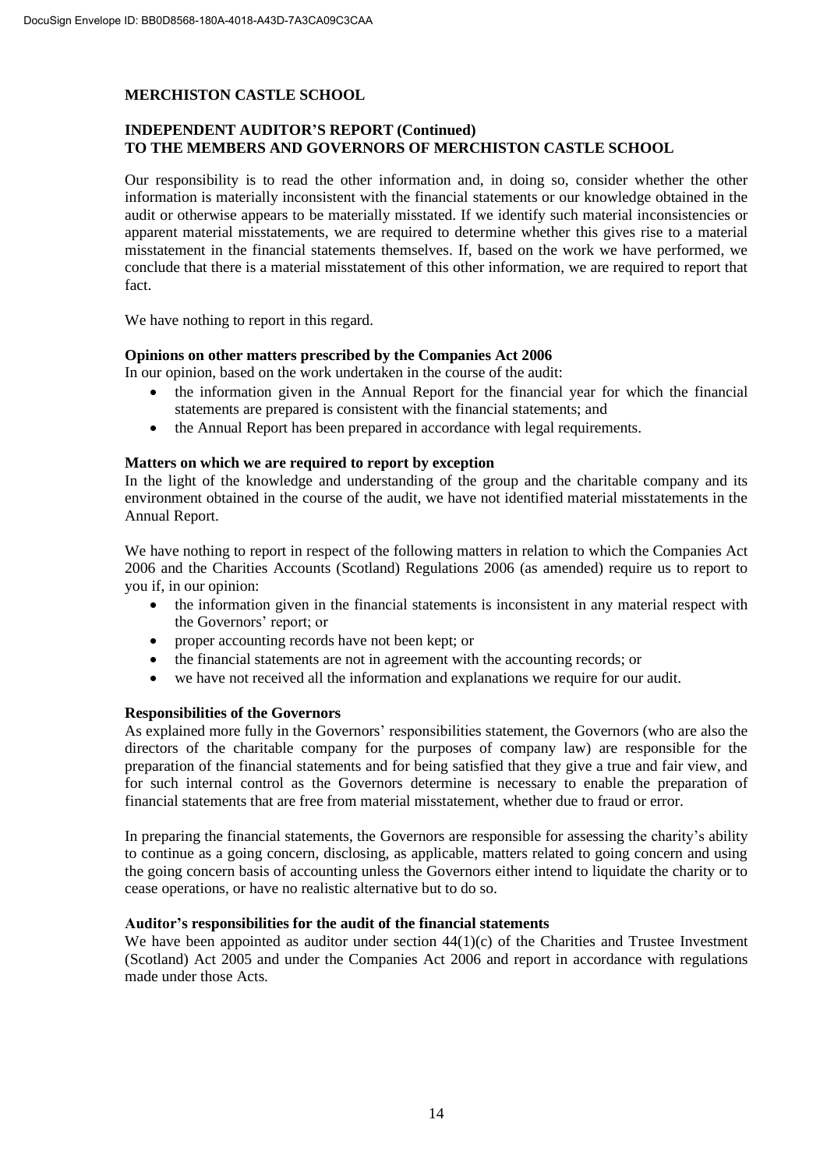# **INDEPENDENT AUDITOR'S REPORT (Continued) TO THE MEMBERS AND GOVERNORS OF MERCHISTON CASTLE SCHOOL**

Our responsibility is to read the other information and, in doing so, consider whether the other information is materially inconsistent with the financial statements or our knowledge obtained in the audit or otherwise appears to be materially misstated. If we identify such material inconsistencies or apparent material misstatements, we are required to determine whether this gives rise to a material misstatement in the financial statements themselves. If, based on the work we have performed, we conclude that there is a material misstatement of this other information, we are required to report that fact.

We have nothing to report in this regard.

#### **Opinions on other matters prescribed by the Companies Act 2006**

In our opinion, based on the work undertaken in the course of the audit:

- the information given in the Annual Report for the financial year for which the financial statements are prepared is consistent with the financial statements; and
- the Annual Report has been prepared in accordance with legal requirements.

#### **Matters on which we are required to report by exception**

In the light of the knowledge and understanding of the group and the charitable company and its environment obtained in the course of the audit, we have not identified material misstatements in the Annual Report.

We have nothing to report in respect of the following matters in relation to which the Companies Act 2006 and the Charities Accounts (Scotland) Regulations 2006 (as amended) require us to report to you if, in our opinion:

- the information given in the financial statements is inconsistent in any material respect with the Governors' report; or
- proper accounting records have not been kept; or
- the financial statements are not in agreement with the accounting records; or
- we have not received all the information and explanations we require for our audit.

### **Responsibilities of the Governors**

As explained more fully in the Governors' responsibilities statement, the Governors (who are also the directors of the charitable company for the purposes of company law) are responsible for the preparation of the financial statements and for being satisfied that they give a true and fair view, and for such internal control as the Governors determine is necessary to enable the preparation of financial statements that are free from material misstatement, whether due to fraud or error.

In preparing the financial statements, the Governors are responsible for assessing the charity's ability to continue as a going concern, disclosing, as applicable, matters related to going concern and using the going concern basis of accounting unless the Governors either intend to liquidate the charity or to cease operations, or have no realistic alternative but to do so.

#### **Auditor's responsibilities for the audit of the financial statements**

We have been appointed as auditor under section  $44(1)(c)$  of the Charities and Trustee Investment (Scotland) Act 2005 and under the Companies Act 2006 and report in accordance with regulations made under those Acts.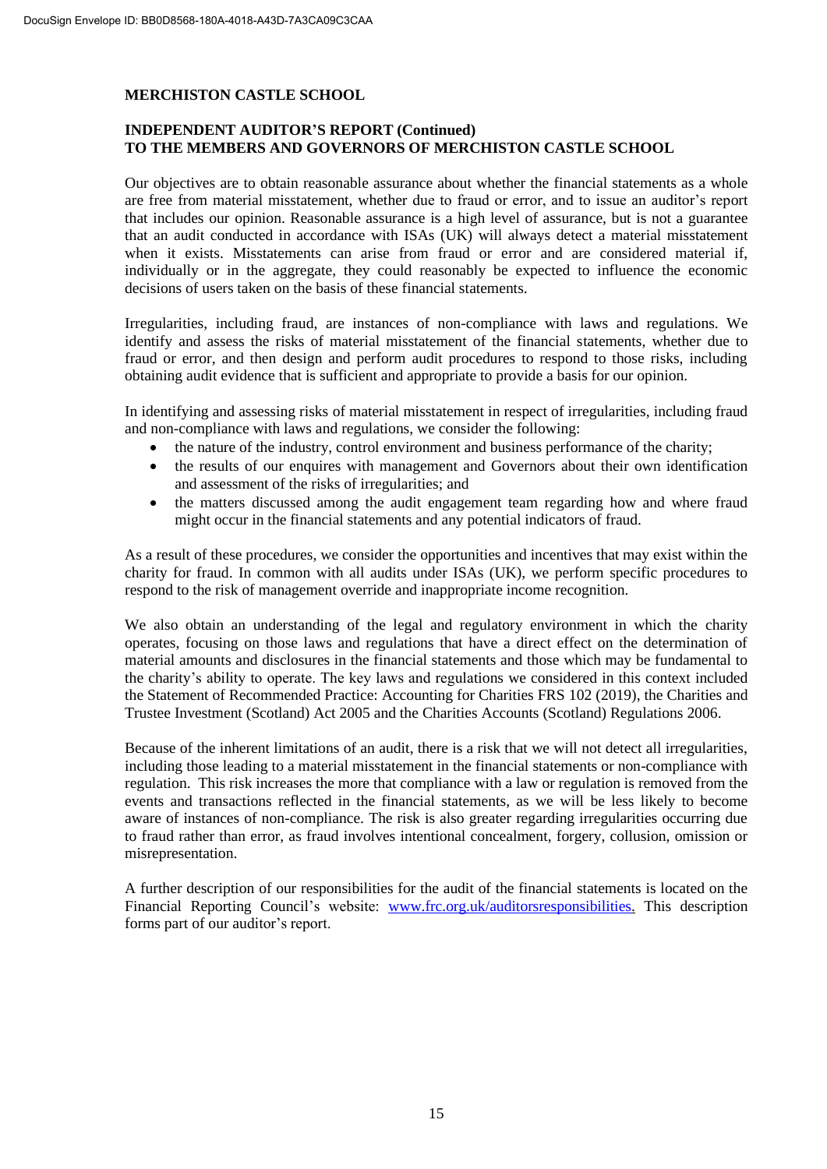# **INDEPENDENT AUDITOR'S REPORT (Continued) TO THE MEMBERS AND GOVERNORS OF MERCHISTON CASTLE SCHOOL**

Our objectives are to obtain reasonable assurance about whether the financial statements as a whole are free from material misstatement, whether due to fraud or error, and to issue an auditor's report that includes our opinion. Reasonable assurance is a high level of assurance, but is not a guarantee that an audit conducted in accordance with ISAs (UK) will always detect a material misstatement when it exists. Misstatements can arise from fraud or error and are considered material if, individually or in the aggregate, they could reasonably be expected to influence the economic decisions of users taken on the basis of these financial statements.

Irregularities, including fraud, are instances of non-compliance with laws and regulations. We identify and assess the risks of material misstatement of the financial statements, whether due to fraud or error, and then design and perform audit procedures to respond to those risks, including obtaining audit evidence that is sufficient and appropriate to provide a basis for our opinion.

In identifying and assessing risks of material misstatement in respect of irregularities, including fraud and non-compliance with laws and regulations, we consider the following:

- the nature of the industry, control environment and business performance of the charity;
- the results of our enquires with management and Governors about their own identification and assessment of the risks of irregularities; and
- the matters discussed among the audit engagement team regarding how and where fraud might occur in the financial statements and any potential indicators of fraud.

As a result of these procedures, we consider the opportunities and incentives that may exist within the charity for fraud. In common with all audits under ISAs (UK), we perform specific procedures to respond to the risk of management override and inappropriate income recognition.

We also obtain an understanding of the legal and regulatory environment in which the charity operates, focusing on those laws and regulations that have a direct effect on the determination of material amounts and disclosures in the financial statements and those which may be fundamental to the charity's ability to operate. The key laws and regulations we considered in this context included the Statement of Recommended Practice: Accounting for Charities FRS 102 (2019), the Charities and Trustee Investment (Scotland) Act 2005 and the Charities Accounts (Scotland) Regulations 2006.

Because of the inherent limitations of an audit, there is a risk that we will not detect all irregularities, including those leading to a material misstatement in the financial statements or non-compliance with regulation. This risk increases the more that compliance with a law or regulation is removed from the events and transactions reflected in the financial statements, as we will be less likely to become aware of instances of non-compliance. The risk is also greater regarding irregularities occurring due to fraud rather than error, as fraud involves intentional concealment, forgery, collusion, omission or misrepresentation.

A further description of our responsibilities for the audit of the financial statements is located on the Financial Reporting Council's website: www.frc.org.uk/auditorsresponsibilities. This description forms part of our auditor's report.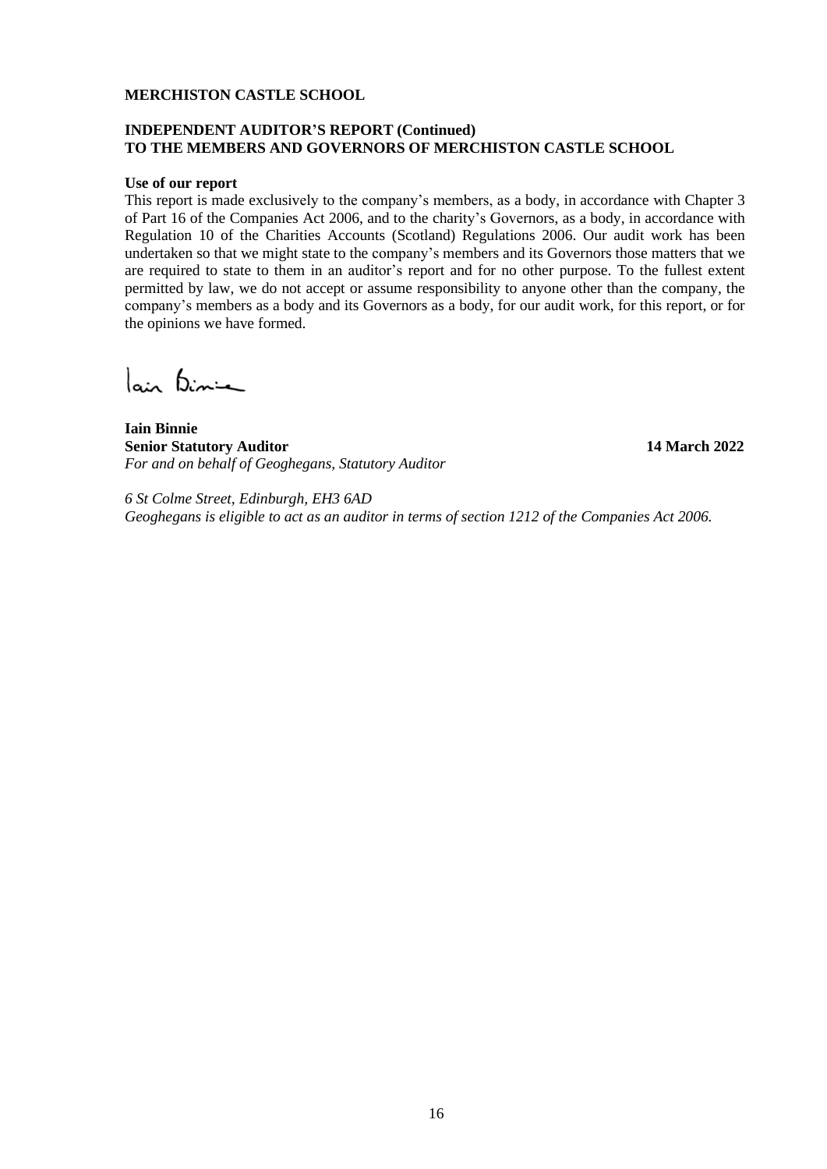## **INDEPENDENT AUDITOR'S REPORT (Continued) TO THE MEMBERS AND GOVERNORS OF MERCHISTON CASTLE SCHOOL**

#### **Use of our report**

This report is made exclusively to the company's members, as a body, in accordance with Chapter 3 of Part 16 of the Companies Act 2006, and to the charity's Governors, as a body, in accordance with Regulation 10 of the Charities Accounts (Scotland) Regulations 2006. Our audit work has been undertaken so that we might state to the company's members and its Governors those matters that we are required to state to them in an auditor's report and for no other purpose. To the fullest extent permitted by law, we do not accept or assume responsibility to anyone other than the company, the company's members as a body and its Governors as a body, for our audit work, for this report, or for the opinions we have formed.

lain Binie

**Iain Binnie Senior Statutory Auditor 14 March 2022** *For and on behalf of Geoghegans, Statutory Auditor*

*6 St Colme Street, Edinburgh, EH3 6AD Geoghegans is eligible to act as an auditor in terms of section 1212 of the Companies Act 2006.*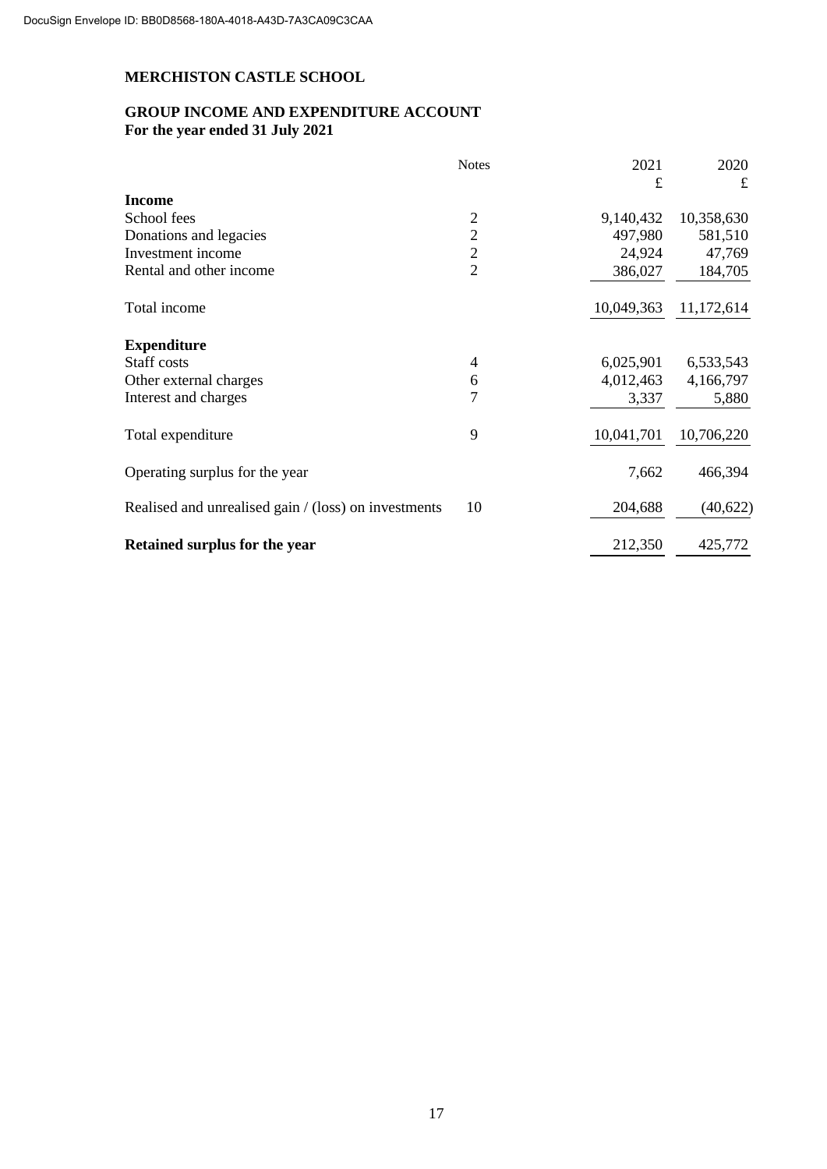# **GROUP INCOME AND EXPENDITURE ACCOUNT For the year ended 31 July 2021**

|                                                      | <b>Notes</b>   | 2021       | 2020       |
|------------------------------------------------------|----------------|------------|------------|
| <b>Income</b>                                        |                | £          | £          |
| School fees                                          | 2              | 9,140,432  | 10,358,630 |
| Donations and legacies                               | $\overline{2}$ | 497,980    | 581,510    |
| Investment income                                    | $\overline{c}$ | 24,924     | 47,769     |
| Rental and other income                              | $\overline{2}$ | 386,027    | 184,705    |
| Total income                                         |                | 10,049,363 | 11,172,614 |
| <b>Expenditure</b>                                   |                |            |            |
| Staff costs                                          | 4              | 6,025,901  | 6,533,543  |
| Other external charges                               | 6              | 4,012,463  | 4,166,797  |
| Interest and charges                                 | 7              | 3,337      | 5,880      |
| Total expenditure                                    | 9              | 10,041,701 | 10,706,220 |
| Operating surplus for the year                       |                | 7,662      | 466,394    |
| Realised and unrealised gain / (loss) on investments | 10             | 204,688    | (40, 622)  |
| Retained surplus for the year                        |                | 212,350    | 425,772    |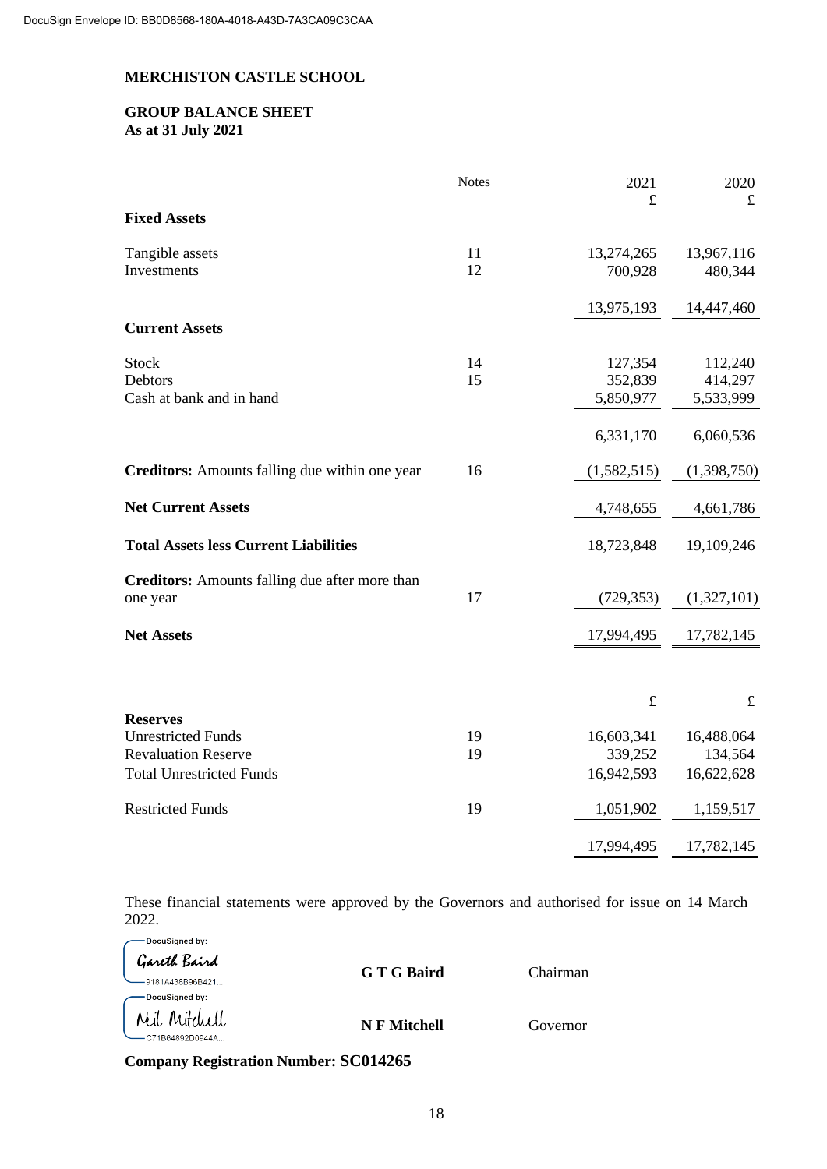## **GROUP BALANCE SHEET As at 31 July 2021**

|                                                                                                               | <b>Notes</b> | 2021                                | 2020                                |
|---------------------------------------------------------------------------------------------------------------|--------------|-------------------------------------|-------------------------------------|
| <b>Fixed Assets</b>                                                                                           |              | £                                   | $\pounds$                           |
| Tangible assets<br>Investments                                                                                | 11<br>12     | 13,274,265<br>700,928               | 13,967,116<br>480,344               |
|                                                                                                               |              | 13,975,193                          | 14,447,460                          |
| <b>Current Assets</b>                                                                                         |              |                                     |                                     |
| <b>Stock</b><br>Debtors<br>Cash at bank and in hand                                                           | 14<br>15     | 127,354<br>352,839<br>5,850,977     | 112,240<br>414,297<br>5,533,999     |
|                                                                                                               |              | 6,331,170                           | 6,060,536                           |
| Creditors: Amounts falling due within one year                                                                | 16           | (1,582,515)                         | (1,398,750)                         |
| <b>Net Current Assets</b>                                                                                     |              | 4,748,655                           | 4,661,786                           |
| <b>Total Assets less Current Liabilities</b>                                                                  |              | 18,723,848                          | 19,109,246                          |
| <b>Creditors:</b> Amounts falling due after more than<br>one year                                             | 17           | (729, 353)                          | (1,327,101)                         |
| <b>Net Assets</b>                                                                                             |              | 17,994,495                          | 17,782,145                          |
|                                                                                                               |              |                                     |                                     |
|                                                                                                               |              | $\pounds$                           | $\pounds$                           |
| <b>Reserves</b><br><b>Unrestricted Funds</b><br><b>Revaluation Reserve</b><br><b>Total Unrestricted Funds</b> | 19<br>19     | 16,603,341<br>339,252<br>16,942,593 | 16,488,064<br>134,564<br>16,622,628 |
| <b>Restricted Funds</b>                                                                                       | 19           | 1,051,902                           | 1,159,517                           |
|                                                                                                               |              | 17,994,495                          | 17,782,145                          |

These financial statements were approved by the Governors and authorised for issue on 14 March 2022.

| DocuSigned by:<br>Gareth Baird<br>-9181A438B96B421 | G T G Baird  | Chairman |
|----------------------------------------------------|--------------|----------|
| DocuSigned by:<br>Mil Mitchell<br>C71B64892D0944A  | N F Mitchell | Governor |

**Company Registration Number: SC014265**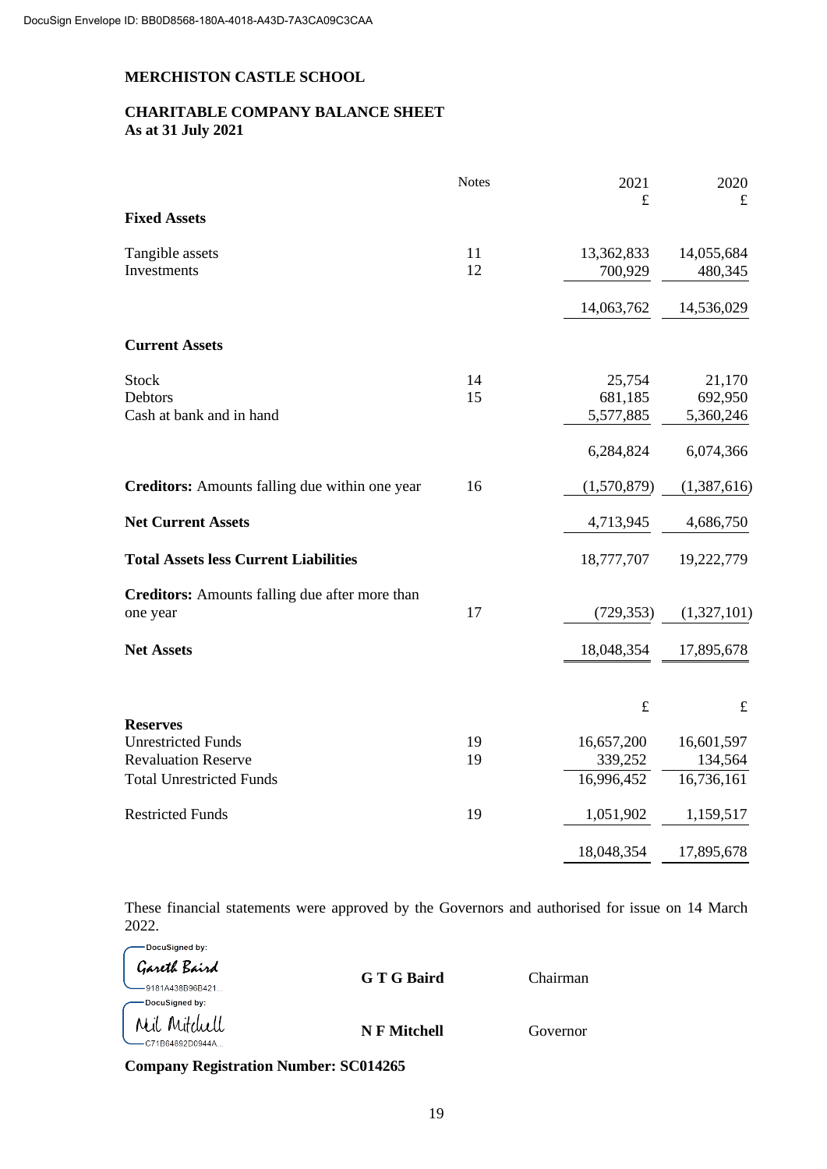# **CHARITABLE COMPANY BALANCE SHEET As at 31 July 2021**

|                                                       | <b>Notes</b> | 2021        | 2020        |
|-------------------------------------------------------|--------------|-------------|-------------|
| <b>Fixed Assets</b>                                   |              | $\mathbf f$ | $\pounds$   |
| Tangible assets                                       | 11           | 13,362,833  | 14,055,684  |
| Investments                                           | 12           | 700,929     | 480,345     |
|                                                       |              | 14,063,762  | 14,536,029  |
| <b>Current Assets</b>                                 |              |             |             |
| <b>Stock</b>                                          | 14           | 25,754      | 21,170      |
| Debtors                                               | 15           | 681,185     | 692,950     |
| Cash at bank and in hand                              |              | 5,577,885   | 5,360,246   |
|                                                       |              | 6,284,824   | 6,074,366   |
| Creditors: Amounts falling due within one year        | 16           | (1,570,879) | (1,387,616) |
| <b>Net Current Assets</b>                             |              | 4,713,945   | 4,686,750   |
| <b>Total Assets less Current Liabilities</b>          |              | 18,777,707  | 19,222,779  |
| <b>Creditors:</b> Amounts falling due after more than |              |             |             |
| one year                                              | 17           | (729, 353)  | (1,327,101) |
| <b>Net Assets</b>                                     |              | 18,048,354  | 17,895,678  |
|                                                       |              |             |             |
|                                                       |              | $\pounds$   | $\pounds$   |
| <b>Reserves</b>                                       |              |             |             |
| <b>Unrestricted Funds</b>                             | 19           | 16,657,200  | 16,601,597  |
| <b>Revaluation Reserve</b>                            | 19           | 339,252     | 134,564     |
| <b>Total Unrestricted Funds</b>                       |              | 16,996,452  | 16,736,161  |
| <b>Restricted Funds</b>                               | 19           | 1,051,902   | 1,159,517   |
|                                                       |              | 18,048,354  | 17,895,678  |

These financial statements were approved by the Governors and authorised for issue on 14 March 2022.

| DocuSigned by:<br>Gareth Baird<br>-9181A438B96B421 | G T G Baird  | Chairman |
|----------------------------------------------------|--------------|----------|
| DocuSigned by:                                     |              |          |
| Mil Mitchell<br>C71B64892D0944A                    | N F Mitchell | Governor |

**Company Registration Number: SC014265**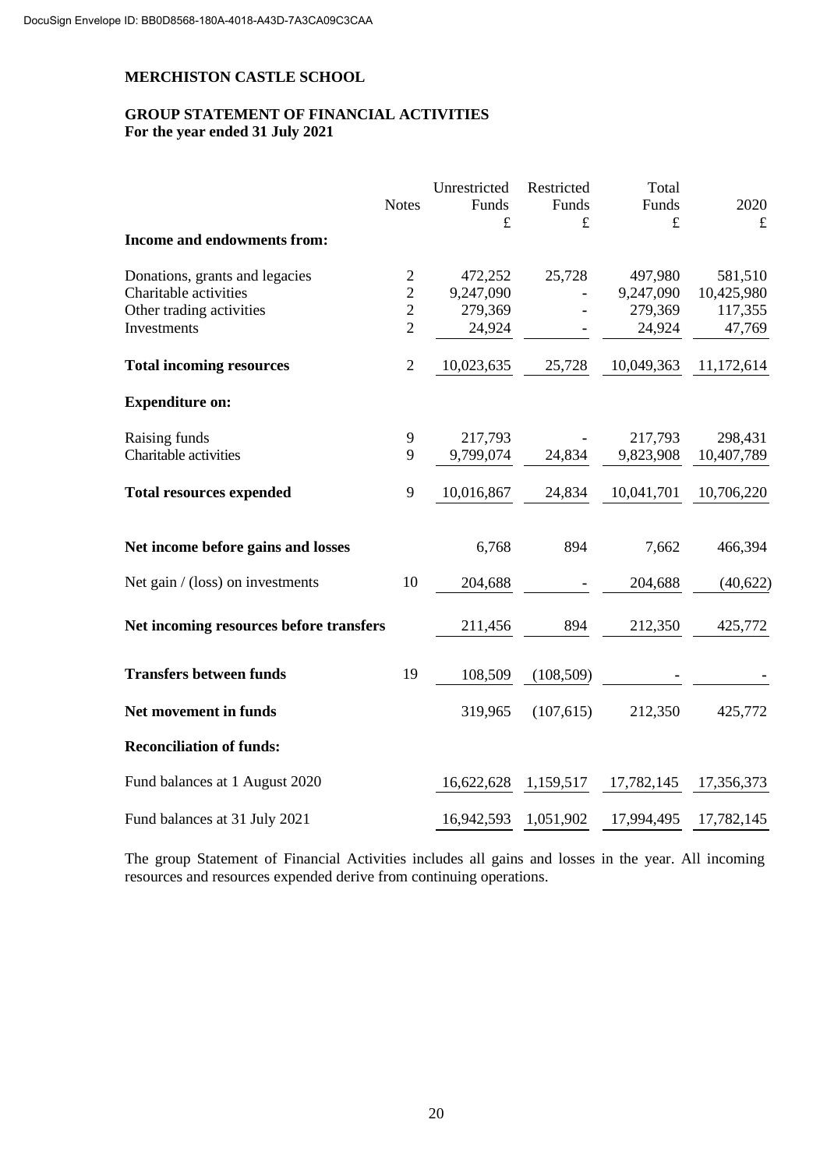## **GROUP STATEMENT OF FINANCIAL ACTIVITIES For the year ended 31 July 2021**

|                                         | <b>Notes</b>   | Unrestricted<br>Funds | Restricted<br>Funds | Total<br>Funds | 2020       |
|-----------------------------------------|----------------|-----------------------|---------------------|----------------|------------|
|                                         |                | £                     | £                   | £              | $\pounds$  |
| Income and endowments from:             |                |                       |                     |                |            |
| Donations, grants and legacies          | $\overline{c}$ | 472,252               | 25,728              | 497,980        | 581,510    |
| Charitable activities                   | $\overline{2}$ | 9,247,090             |                     | 9,247,090      | 10,425,980 |
| Other trading activities                | $\overline{2}$ | 279,369               |                     | 279,369        | 117,355    |
| Investments                             | $\overline{2}$ | 24,924                |                     | 24,924         | 47,769     |
| <b>Total incoming resources</b>         | $\overline{2}$ | 10,023,635            | 25,728              | 10,049,363     | 11,172,614 |
| <b>Expenditure on:</b>                  |                |                       |                     |                |            |
| Raising funds                           | 9              | 217,793               |                     | 217,793        | 298,431    |
| Charitable activities                   | 9              | 9,799,074             | 24,834              | 9,823,908      | 10,407,789 |
| <b>Total resources expended</b>         | 9              | 10,016,867            | 24,834              | 10,041,701     | 10,706,220 |
| Net income before gains and losses      |                | 6,768                 | 894                 | 7,662          | 466,394    |
| Net gain $/(loss)$ on investments       | 10             | 204,688               |                     | 204,688        | (40,622)   |
| Net incoming resources before transfers |                | 211,456               | 894                 | 212,350        | 425,772    |
| <b>Transfers between funds</b>          | 19             | 108,509               | (108, 509)          |                |            |
| Net movement in funds                   |                | 319,965               | (107,615)           | 212,350        | 425,772    |
| <b>Reconciliation of funds:</b>         |                |                       |                     |                |            |
| Fund balances at 1 August 2020          |                | 16,622,628            | 1,159,517           | 17,782,145     | 17,356,373 |
| Fund balances at 31 July 2021           |                | 16,942,593 1,051,902  |                     | 17,994,495     | 17,782,145 |

The group Statement of Financial Activities includes all gains and losses in the year. All incoming resources and resources expended derive from continuing operations.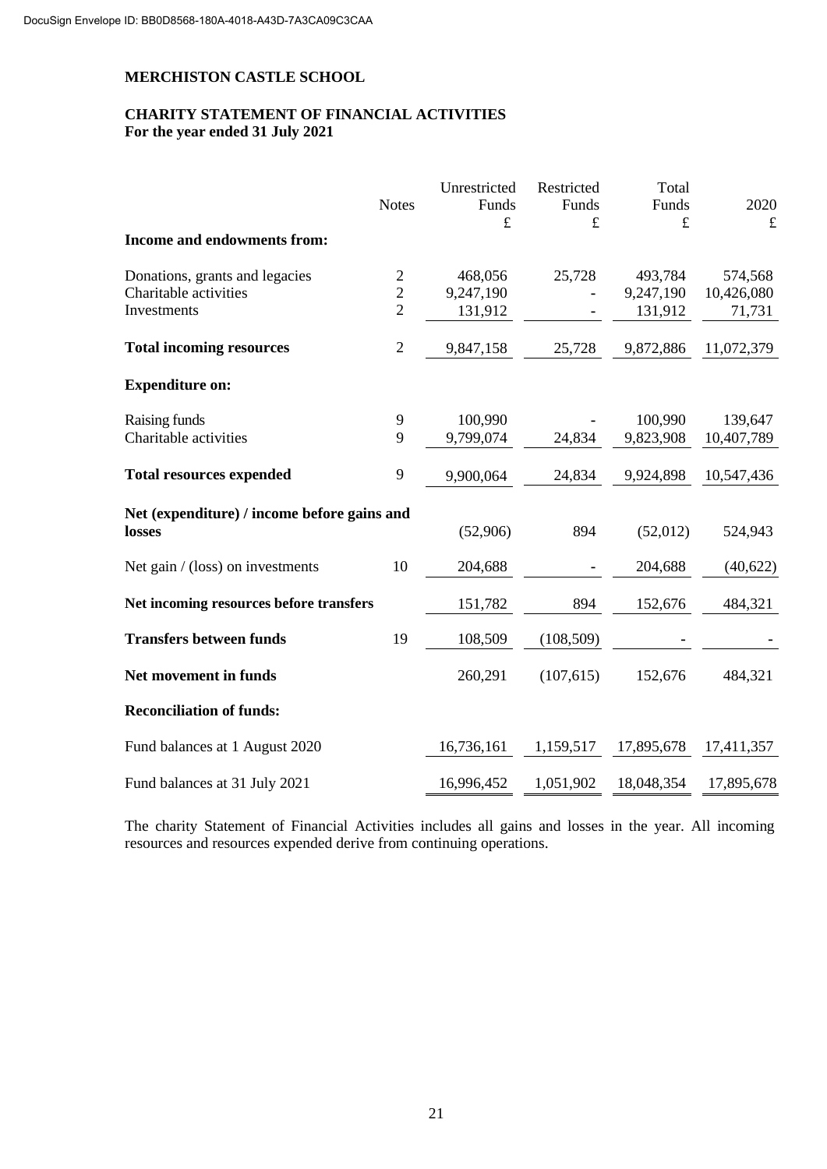## **CHARITY STATEMENT OF FINANCIAL ACTIVITIES For the year ended 31 July 2021**

|                                             | <b>Notes</b>   | Unrestricted<br>Funds | Restricted<br>Funds | Total<br>Funds | 2020       |
|---------------------------------------------|----------------|-----------------------|---------------------|----------------|------------|
|                                             |                | £                     | £                   | $\pounds$      | $\pounds$  |
| <b>Income and endowments from:</b>          |                |                       |                     |                |            |
| Donations, grants and legacies              | $\sqrt{2}$     | 468,056               | 25,728              | 493,784        | 574,568    |
| Charitable activities                       | $\overline{c}$ | 9,247,190             |                     | 9,247,190      | 10,426,080 |
| Investments                                 | $\overline{2}$ | 131,912               |                     | 131,912        | 71,731     |
| <b>Total incoming resources</b>             | $\sqrt{2}$     | 9,847,158             | 25,728              | 9,872,886      | 11,072,379 |
| <b>Expenditure on:</b>                      |                |                       |                     |                |            |
| Raising funds                               | 9              | 100,990               |                     | 100,990        | 139,647    |
| Charitable activities                       | 9              | 9,799,074             | 24,834              | 9,823,908      | 10,407,789 |
| <b>Total resources expended</b>             | 9              | 9,900,064             | 24,834              | 9,924,898      | 10,547,436 |
| Net (expenditure) / income before gains and |                |                       |                     |                |            |
| losses                                      |                | (52,906)              | 894                 | (52,012)       | 524,943    |
| Net gain $/(loss)$ on investments           | 10             | 204,688               |                     | 204,688        | (40,622)   |
| Net incoming resources before transfers     |                | 151,782               | 894                 | 152,676        | 484,321    |
| <b>Transfers between funds</b>              | 19             | 108,509               | (108, 509)          |                |            |
| Net movement in funds                       |                | 260,291               | (107, 615)          | 152,676        | 484,321    |
| <b>Reconciliation of funds:</b>             |                |                       |                     |                |            |
| Fund balances at 1 August 2020              |                | 16,736,161            | 1,159,517           | 17,895,678     | 17,411,357 |
| Fund balances at 31 July 2021               |                | 16,996,452            | 1,051,902           | 18,048,354     | 17,895,678 |

The charity Statement of Financial Activities includes all gains and losses in the year. All incoming resources and resources expended derive from continuing operations.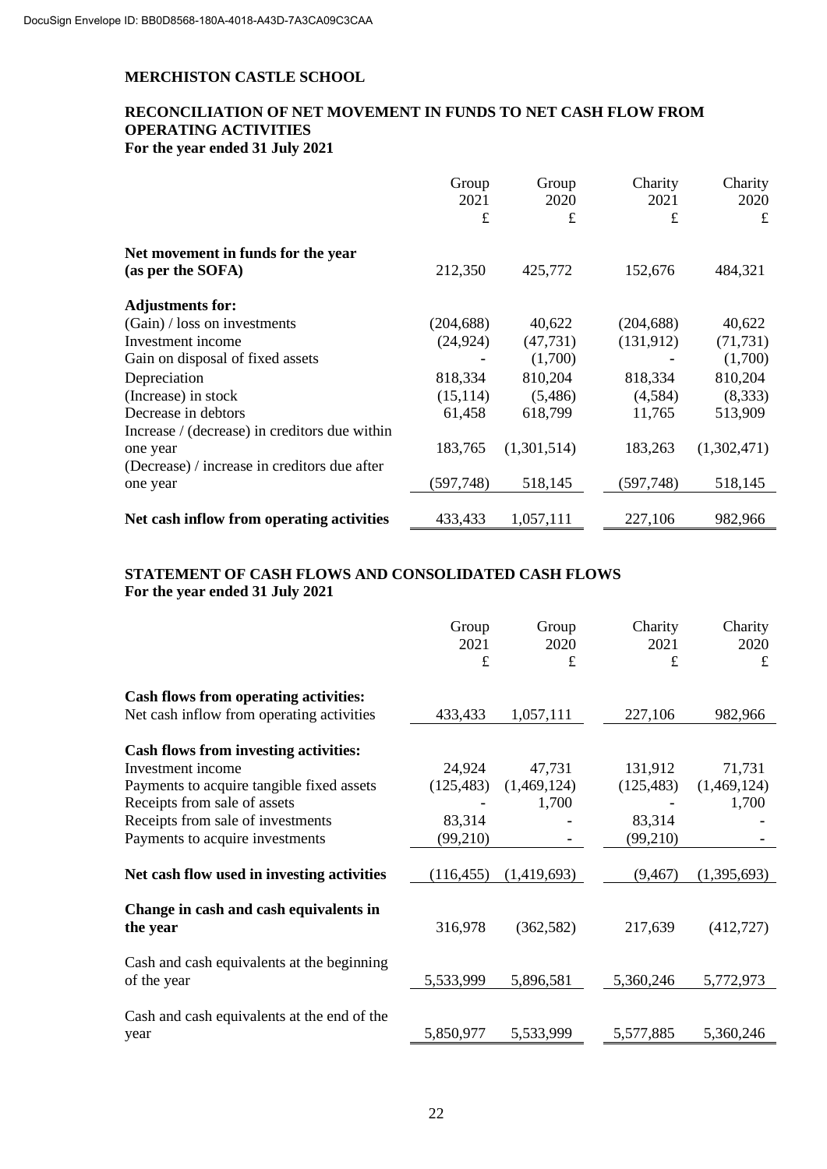# **RECONCILIATION OF NET MOVEMENT IN FUNDS TO NET CASH FLOW FROM OPERATING ACTIVITIES For the year ended 31 July 2021**

| Group      | Group                        | Charity                | Charity                      |
|------------|------------------------------|------------------------|------------------------------|
|            |                              |                        | 2020                         |
|            |                              |                        | £                            |
|            |                              |                        |                              |
| 212,350    | 425,772                      | 152,676                | 484,321                      |
|            |                              |                        |                              |
| (204, 688) | 40,622                       | (204, 688)             | 40,622                       |
| (24, 924)  | (47, 731)                    | (131, 912)             | (71, 731)                    |
|            | (1,700)                      |                        | (1,700)                      |
| 818,334    | 810,204                      | 818,334                | 810,204                      |
| (15, 114)  | (5,486)                      | (4,584)                | (8,333)                      |
| 61,458     | 618,799                      | 11,765                 | 513,909                      |
|            |                              |                        |                              |
| 183,765    | (1,301,514)                  | 183,263                | (1,302,471)                  |
|            |                              |                        |                              |
| (597, 748) | 518,145                      | (597,748)              | 518,145                      |
|            |                              |                        | 982,966                      |
|            | 2021<br>$\pounds$<br>433,433 | 2020<br>£<br>1,057,111 | 2021<br>$\pounds$<br>227,106 |

# **STATEMENT OF CASH FLOWS AND CONSOLIDATED CASH FLOWS For the year ended 31 July 2021**

|                                                           | Group<br>2021<br>£ | Group<br>2020<br>$\pounds$ | Charity<br>2021<br>$\mathbf f$ | Charity<br>2020<br>$\pounds$ |
|-----------------------------------------------------------|--------------------|----------------------------|--------------------------------|------------------------------|
| <b>Cash flows from operating activities:</b>              |                    |                            |                                |                              |
| Net cash inflow from operating activities                 | 433,433            | 1,057,111                  | 227,106                        | 982,966                      |
| <b>Cash flows from investing activities:</b>              |                    |                            |                                |                              |
| Investment income                                         | 24,924             | 47,731                     | 131,912                        | 71,731                       |
| Payments to acquire tangible fixed assets                 | (125, 483)         | (1,469,124)                | (125, 483)                     | (1,469,124)                  |
| Receipts from sale of assets                              |                    | 1,700                      |                                | 1,700                        |
| Receipts from sale of investments                         | 83,314             |                            | 83,314                         |                              |
| Payments to acquire investments                           | (99,210)           |                            | (99,210)                       |                              |
| Net cash flow used in investing activities                | (116, 455)         | (1,419,693)                | (9, 467)                       | (1,395,693)                  |
| Change in cash and cash equivalents in<br>the year        | 316,978            | (362, 582)                 | 217,639                        | (412, 727)                   |
| Cash and cash equivalents at the beginning<br>of the year | 5,533,999          | 5,896,581                  | 5,360,246                      | 5,772,973                    |
| Cash and cash equivalents at the end of the<br>year       | 5,850,977          | 5,533,999                  | 5,577,885                      | 5,360,246                    |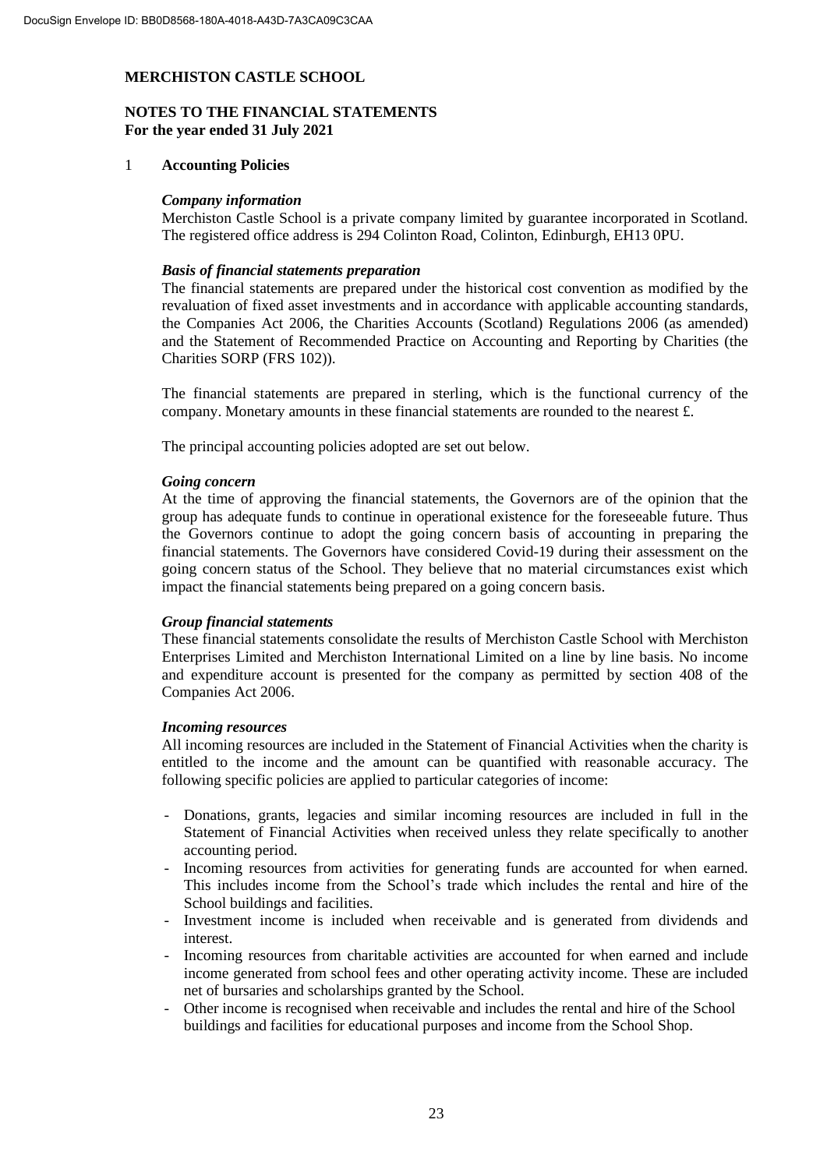# **NOTES TO THE FINANCIAL STATEMENTS For the year ended 31 July 2021**

#### 1 **Accounting Policies**

#### *Company information*

Merchiston Castle School is a private company limited by guarantee incorporated in Scotland. The registered office address is 294 Colinton Road, Colinton, Edinburgh, EH13 0PU.

#### *Basis of financial statements preparation*

The financial statements are prepared under the historical cost convention as modified by the revaluation of fixed asset investments and in accordance with applicable accounting standards, the Companies Act 2006, the Charities Accounts (Scotland) Regulations 2006 (as amended) and the Statement of Recommended Practice on Accounting and Reporting by Charities (the Charities SORP (FRS 102)).

The financial statements are prepared in sterling, which is the functional currency of the company. Monetary amounts in these financial statements are rounded to the nearest £.

The principal accounting policies adopted are set out below.

#### *Going concern*

At the time of approving the financial statements, the Governors are of the opinion that the group has adequate funds to continue in operational existence for the foreseeable future. Thus the Governors continue to adopt the going concern basis of accounting in preparing the financial statements. The Governors have considered Covid-19 during their assessment on the going concern status of the School. They believe that no material circumstances exist which impact the financial statements being prepared on a going concern basis.

#### *Group financial statements*

These financial statements consolidate the results of Merchiston Castle School with Merchiston Enterprises Limited and Merchiston International Limited on a line by line basis. No income and expenditure account is presented for the company as permitted by section 408 of the Companies Act 2006.

#### *Incoming resources*

All incoming resources are included in the Statement of Financial Activities when the charity is entitled to the income and the amount can be quantified with reasonable accuracy. The following specific policies are applied to particular categories of income:

- Donations, grants, legacies and similar incoming resources are included in full in the Statement of Financial Activities when received unless they relate specifically to another accounting period.
- Incoming resources from activities for generating funds are accounted for when earned. This includes income from the School's trade which includes the rental and hire of the School buildings and facilities.
- Investment income is included when receivable and is generated from dividends and interest.
- Incoming resources from charitable activities are accounted for when earned and include income generated from school fees and other operating activity income. These are included net of bursaries and scholarships granted by the School.
- Other income is recognised when receivable and includes the rental and hire of the School buildings and facilities for educational purposes and income from the School Shop.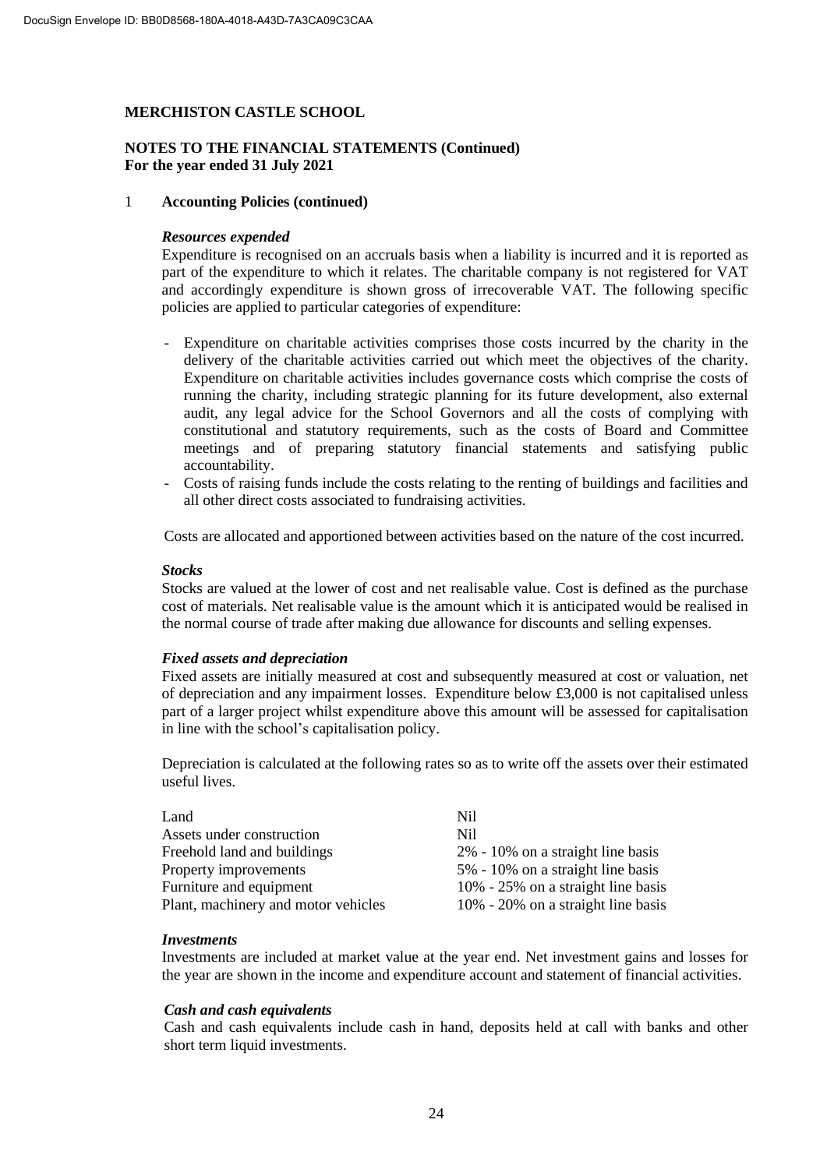#### **NOTES TO THE FINANCIAL STATEMENTS (Continued) For the year ended 31 July 2021**

#### 1 **Accounting Policies (continued)**

#### *Resources expended*

Expenditure is recognised on an accruals basis when a liability is incurred and it is reported as part of the expenditure to which it relates. The charitable company is not registered for VAT and accordingly expenditure is shown gross of irrecoverable VAT. The following specific policies are applied to particular categories of expenditure:

- Expenditure on charitable activities comprises those costs incurred by the charity in the delivery of the charitable activities carried out which meet the objectives of the charity. Expenditure on charitable activities includes governance costs which comprise the costs of running the charity, including strategic planning for its future development, also external audit, any legal advice for the School Governors and all the costs of complying with constitutional and statutory requirements, such as the costs of Board and Committee meetings and of preparing statutory financial statements and satisfying public accountability.
- Costs of raising funds include the costs relating to the renting of buildings and facilities and all other direct costs associated to fundraising activities.

Costs are allocated and apportioned between activities based on the nature of the cost incurred.

#### *Stocks*

Stocks are valued at the lower of cost and net realisable value. Cost is defined as the purchase cost of materials. Net realisable value is the amount which it is anticipated would be realised in the normal course of trade after making due allowance for discounts and selling expenses.

#### *Fixed assets and depreciation*

Fixed assets are initially measured at cost and subsequently measured at cost or valuation, net of depreciation and any impairment losses. Expenditure below £3,000 is not capitalised unless part of a larger project whilst expenditure above this amount will be assessed for capitalisation in line with the school's capitalisation policy.

Depreciation is calculated at the following rates so as to write off the assets over their estimated useful lives.

| Land                                | Nil                                |
|-------------------------------------|------------------------------------|
| Assets under construction           | Nil.                               |
| Freehold land and buildings         | 2% - 10% on a straight line basis  |
| Property improvements               | 5% - 10% on a straight line basis  |
| Furniture and equipment             | 10% - 25% on a straight line basis |
| Plant, machinery and motor vehicles | 10% - 20% on a straight line basis |

#### *Investments*

Investments are included at market value at the year end. Net investment gains and losses for the year are shown in the income and expenditure account and statement of financial activities.

### *Cash and cash equivalents*

Cash and cash equivalents include cash in hand, deposits held at call with banks and other short term liquid investments.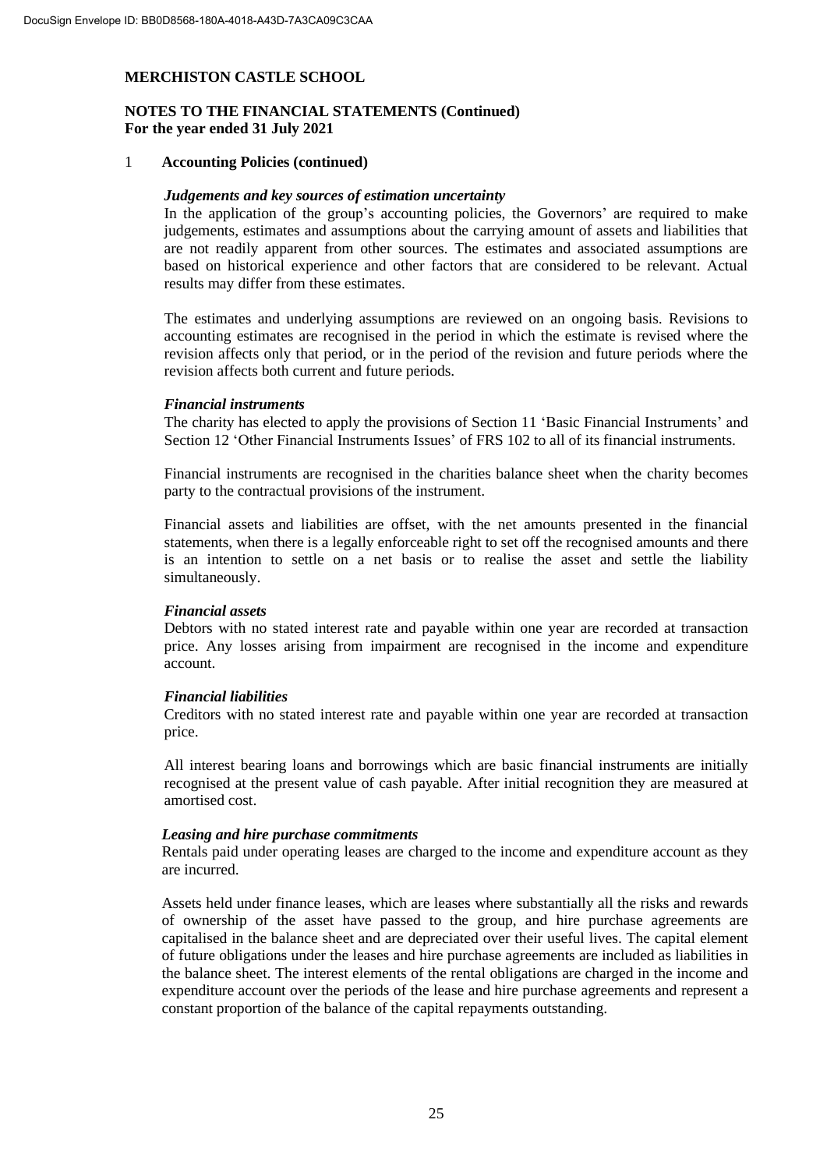### **NOTES TO THE FINANCIAL STATEMENTS (Continued) For the year ended 31 July 2021**

#### 1 **Accounting Policies (continued)**

#### *Judgements and key sources of estimation uncertainty*

In the application of the group's accounting policies, the Governors' are required to make judgements, estimates and assumptions about the carrying amount of assets and liabilities that are not readily apparent from other sources. The estimates and associated assumptions are based on historical experience and other factors that are considered to be relevant. Actual results may differ from these estimates.

The estimates and underlying assumptions are reviewed on an ongoing basis. Revisions to accounting estimates are recognised in the period in which the estimate is revised where the revision affects only that period, or in the period of the revision and future periods where the revision affects both current and future periods.

#### *Financial instruments*

The charity has elected to apply the provisions of Section 11 'Basic Financial Instruments' and Section 12 'Other Financial Instruments Issues' of FRS 102 to all of its financial instruments.

Financial instruments are recognised in the charities balance sheet when the charity becomes party to the contractual provisions of the instrument.

Financial assets and liabilities are offset, with the net amounts presented in the financial statements, when there is a legally enforceable right to set off the recognised amounts and there is an intention to settle on a net basis or to realise the asset and settle the liability simultaneously.

#### *Financial assets*

Debtors with no stated interest rate and payable within one year are recorded at transaction price. Any losses arising from impairment are recognised in the income and expenditure account.

#### *Financial liabilities*

Creditors with no stated interest rate and payable within one year are recorded at transaction price.

All interest bearing loans and borrowings which are basic financial instruments are initially recognised at the present value of cash payable. After initial recognition they are measured at amortised cost.

#### *Leasing and hire purchase commitments*

Rentals paid under operating leases are charged to the income and expenditure account as they are incurred.

Assets held under finance leases, which are leases where substantially all the risks and rewards of ownership of the asset have passed to the group, and hire purchase agreements are capitalised in the balance sheet and are depreciated over their useful lives. The capital element of future obligations under the leases and hire purchase agreements are included as liabilities in the balance sheet. The interest elements of the rental obligations are charged in the income and expenditure account over the periods of the lease and hire purchase agreements and represent a constant proportion of the balance of the capital repayments outstanding.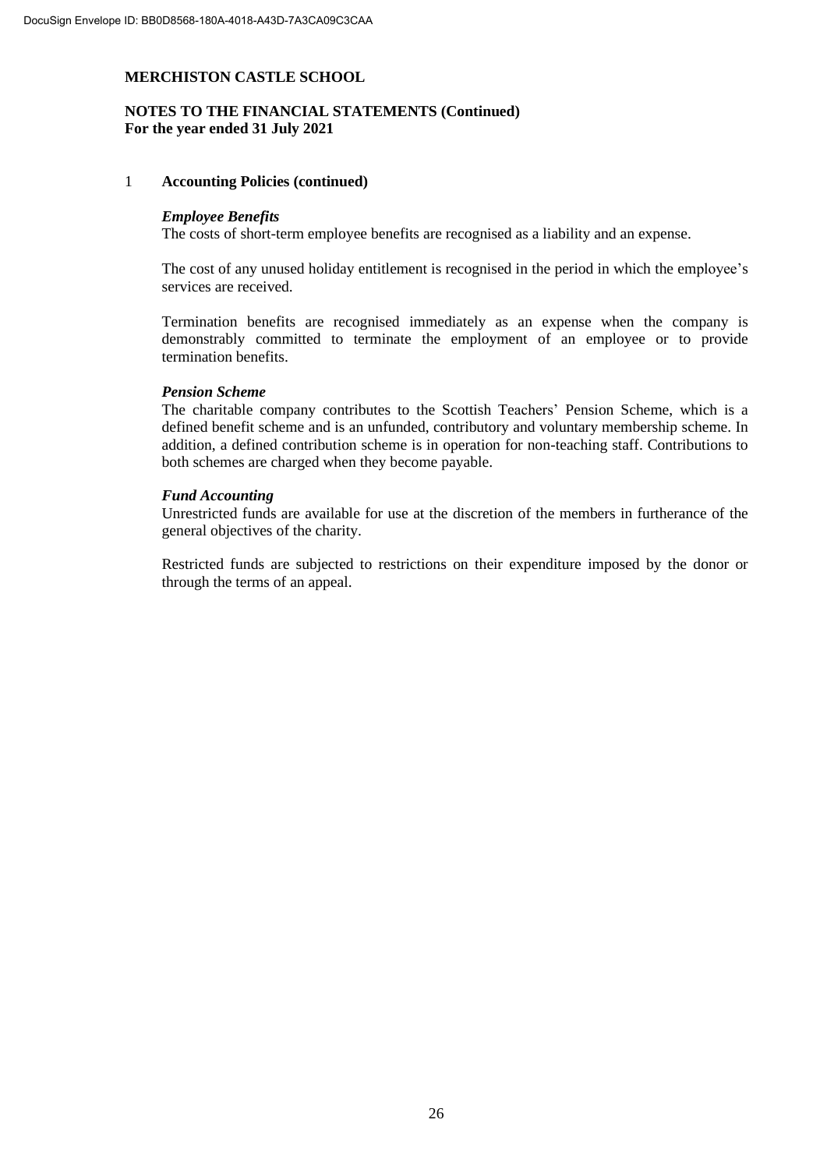### **NOTES TO THE FINANCIAL STATEMENTS (Continued) For the year ended 31 July 2021**

#### 1 **Accounting Policies (continued)**

#### *Employee Benefits*

The costs of short-term employee benefits are recognised as a liability and an expense.

The cost of any unused holiday entitlement is recognised in the period in which the employee's services are received.

Termination benefits are recognised immediately as an expense when the company is demonstrably committed to terminate the employment of an employee or to provide termination benefits.

#### *Pension Scheme*

The charitable company contributes to the Scottish Teachers' Pension Scheme, which is a defined benefit scheme and is an unfunded, contributory and voluntary membership scheme. In addition, a defined contribution scheme is in operation for non-teaching staff. Contributions to both schemes are charged when they become payable.

#### *Fund Accounting*

Unrestricted funds are available for use at the discretion of the members in furtherance of the general objectives of the charity.

Restricted funds are subjected to restrictions on their expenditure imposed by the donor or through the terms of an appeal.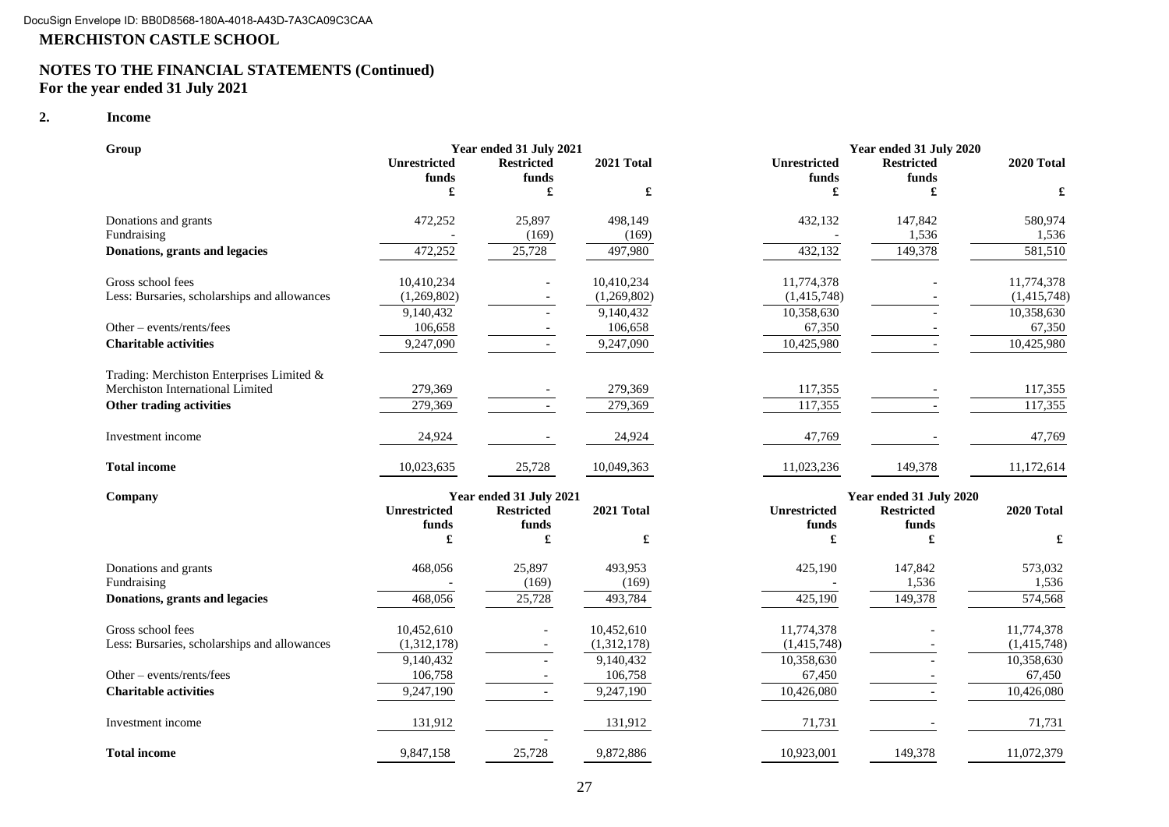### **NOTES TO THE FINANCIAL STATEMENTS (Continued) For the year ended 31 July 2021**

#### **2. Income**

| Group                                        |                     | Year ended 31 July 2021  |             |              | Year ended 31 July 2020 |             |
|----------------------------------------------|---------------------|--------------------------|-------------|--------------|-------------------------|-------------|
|                                              | <b>Unrestricted</b> | <b>Restricted</b>        | 2021 Total  | Unrestricted | <b>Restricted</b>       | 2020 Total  |
|                                              | funds               | funds                    |             | funds        | funds                   |             |
|                                              | £                   | £                        | £           | £            | £                       | £           |
| Donations and grants                         | 472,252             | 25,897                   | 498,149     | 432,132      | 147,842                 | 580,974     |
| Fundraising                                  |                     | (169)                    | (169)       |              | 1,536                   | 1,536       |
| Donations, grants and legacies               | 472,252             | 25,728                   | 497,980     | 432,132      | 149,378                 | 581,510     |
| Gross school fees                            | 10,410,234          |                          | 10,410,234  | 11,774,378   |                         | 11,774,378  |
| Less: Bursaries, scholarships and allowances | (1,269,802)         |                          | (1,269,802) | (1,415,748)  |                         | (1,415,748) |
|                                              | 9,140,432           |                          | 9,140,432   | 10,358,630   |                         | 10,358,630  |
| Other - events/rents/fees                    | 106,658             |                          | 106,658     | 67,350       |                         | 67,350      |
| <b>Charitable activities</b>                 | 9,247,090           |                          | 9,247,090   | 10,425,980   |                         | 10,425,980  |
| Trading: Merchiston Enterprises Limited &    |                     |                          |             |              |                         |             |
| Merchiston International Limited             | 279,369             |                          | 279,369     | 117,355      |                         | 117,355     |
| Other trading activities                     | 279,369             | $\sim$                   | 279,369     | 117,355      |                         | 117,355     |
| Investment income                            | 24,924              |                          | 24,924      | 47,769       |                         | 47,769      |
| <b>Total income</b>                          | 10,023,635          | 25,728                   | 10,049,363  | 11,023,236   | 149,378                 | 11,172,614  |
| Company                                      |                     | Year ended 31 July 2021  |             |              | Year ended 31 July 2020 |             |
|                                              | Unrestricted        | <b>Restricted</b>        | 2021 Total  | Unrestricted | <b>Restricted</b>       | 2020 Total  |
|                                              | funds               | funds                    |             | funds        | funds                   |             |
|                                              | £                   | £                        | £           | £            | £                       | £           |
| Donations and grants                         | 468,056             | 25,897                   | 493,953     | 425,190      | 147,842                 | 573,032     |
| Fundraising                                  |                     | (169)                    | (169)       |              | 1,536                   | 1,536       |
| Donations, grants and legacies               | 468,056             | 25,728                   | 493,784     | 425,190      | 149,378                 | 574,568     |
| Gross school fees                            | 10,452,610          |                          | 10,452,610  | 11,774,378   |                         | 11,774,378  |
| Less: Bursaries, scholarships and allowances | (1,312,178)         |                          | (1,312,178) | (1,415,748)  |                         | (1,415,748) |
|                                              | 9,140,432           |                          | 9,140,432   | 10,358,630   |                         | 10,358,630  |
| Other – events/rents/fees                    | 106,758             |                          | 106,758     | 67,450       |                         | 67,450      |
| <b>Charitable activities</b>                 | 9,247,190           | $\overline{\phantom{a}}$ | 9,247,190   | 10,426,080   |                         | 10,426,080  |
| Investment income                            | 131,912             |                          | 131,912     | 71,731       |                         | 71,731      |
| <b>Total income</b>                          | 9,847,158           | 25,728                   | 9,872,886   | 10,923,001   | 149,378                 | 11,072,379  |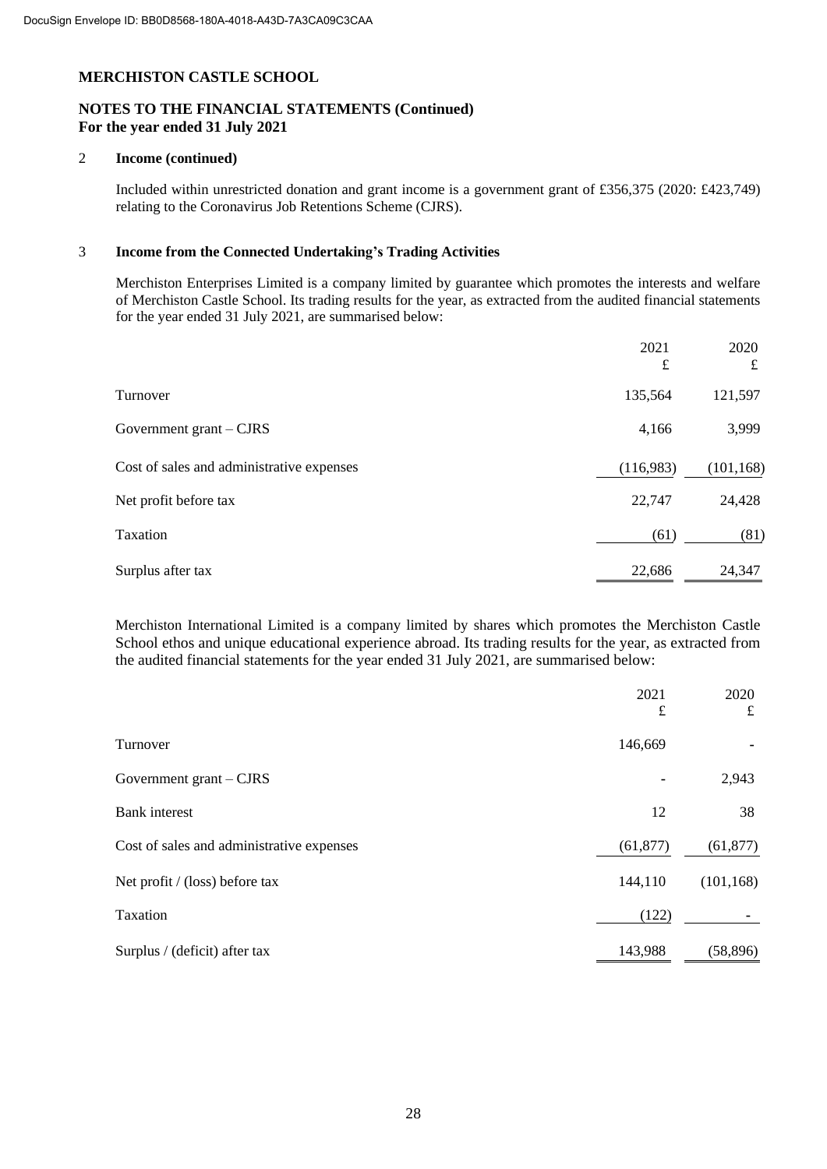# **NOTES TO THE FINANCIAL STATEMENTS (Continued) For the year ended 31 July 2021**

#### 2 **Income (continued)**

Included within unrestricted donation and grant income is a government grant of £356,375 (2020: £423,749) relating to the Coronavirus Job Retentions Scheme (CJRS).

#### 3 **Income from the Connected Undertaking's Trading Activities**

Merchiston Enterprises Limited is a company limited by guarantee which promotes the interests and welfare of Merchiston Castle School. Its trading results for the year, as extracted from the audited financial statements for the year ended 31 July 2021, are summarised below:

|                                           | 2021      | 2020       |
|-------------------------------------------|-----------|------------|
|                                           | £         | £          |
| Turnover                                  | 135,564   | 121,597    |
| Government grant – CJRS                   | 4,166     | 3,999      |
| Cost of sales and administrative expenses | (116,983) | (101, 168) |
| Net profit before tax                     | 22,747    | 24,428     |
| Taxation                                  | (61)      | (81)       |
| Surplus after tax                         | 22,686    | 24,347     |

Merchiston International Limited is a company limited by shares which promotes the Merchiston Castle School ethos and unique educational experience abroad. Its trading results for the year, as extracted from the audited financial statements for the year ended 31 July 2021, are summarised below:

|                                           | 2021<br>£      | 2020<br>$\pounds$ |
|-------------------------------------------|----------------|-------------------|
| Turnover                                  | 146,669        |                   |
| Government grant – CJRS                   | $\blacksquare$ | 2,943             |
| <b>Bank</b> interest                      | 12             | 38                |
| Cost of sales and administrative expenses | (61, 877)      | (61, 877)         |
| Net profit $/$ (loss) before tax          | 144,110        | (101, 168)        |
| Taxation                                  | (122)          |                   |
| Surplus / (deficit) after tax             | 143,988        | (58, 896)         |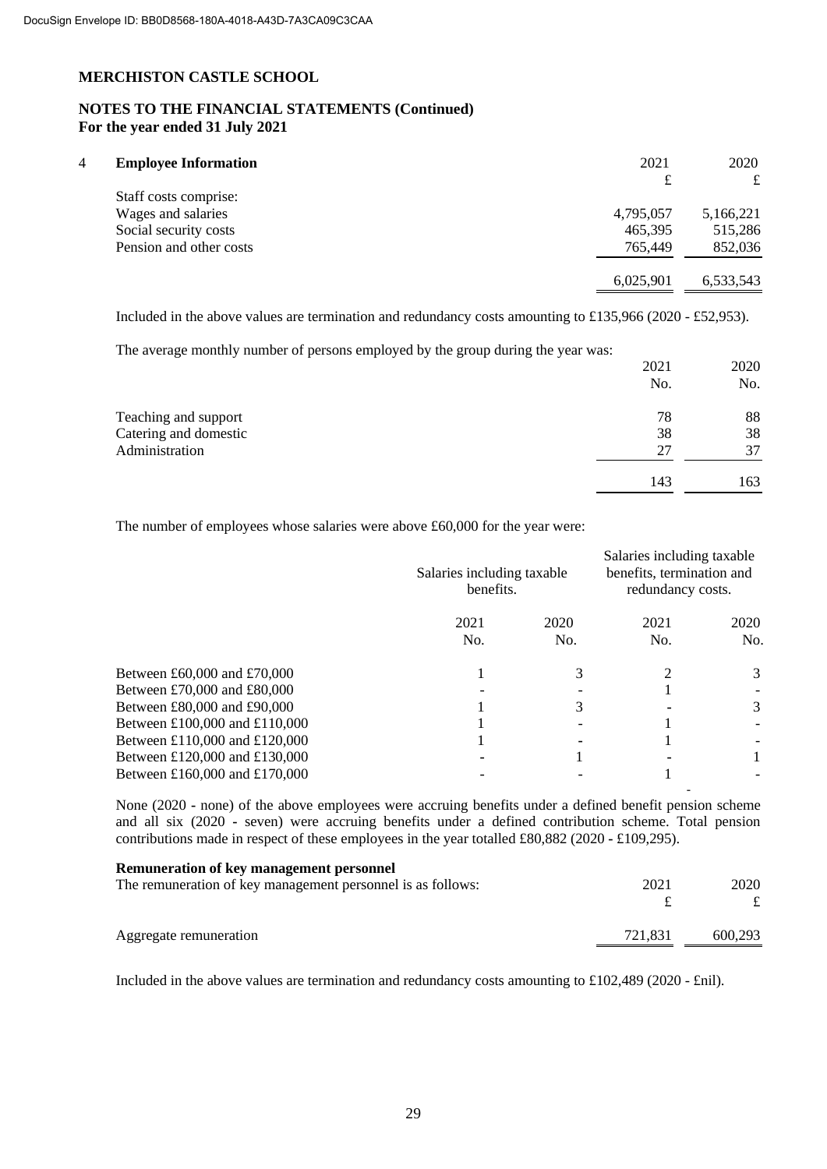# **NOTES TO THE FINANCIAL STATEMENTS (Continued) For the year ended 31 July 2021**

| $\overline{4}$ | <b>Employee Information</b> | 2021      | 2020      |
|----------------|-----------------------------|-----------|-----------|
|                |                             | £         | £         |
|                | Staff costs comprise:       |           |           |
|                | Wages and salaries          | 4,795,057 | 5,166,221 |
|                | Social security costs       | 465,395   | 515,286   |
|                | Pension and other costs     | 765,449   | 852,036   |
|                |                             | 6,025,901 | 6,533,543 |

Included in the above values are termination and redundancy costs amounting to £135,966 (2020 - £52,953).

The average monthly number of persons employed by the group during the year was:

|                       | 2021 | 2020 |
|-----------------------|------|------|
|                       | No.  | No.  |
| Teaching and support  | 78   | 88   |
| Catering and domestic | 38   | 38   |
| Administration        | 27   | 37   |
|                       | 143  | 163  |

The number of employees whose salaries were above £60,000 for the year were:

|                               | Salaries including taxable<br>benefits. |             | Salaries including taxable<br>benefits, termination and<br>redundancy costs. |             |
|-------------------------------|-----------------------------------------|-------------|------------------------------------------------------------------------------|-------------|
|                               | 2021<br>No.                             | 2020<br>No. | 2021<br>No.                                                                  | 2020<br>No. |
| Between £60,000 and £70,000   |                                         |             |                                                                              | 3           |
| Between £70,000 and £80,000   |                                         |             |                                                                              |             |
| Between £80,000 and £90,000   |                                         |             |                                                                              | 3           |
| Between £100,000 and £110,000 |                                         |             |                                                                              |             |
| Between £110,000 and £120,000 |                                         |             |                                                                              |             |
| Between £120,000 and £130,000 |                                         |             |                                                                              |             |
| Between £160,000 and £170,000 |                                         |             |                                                                              |             |

None (2020 **-** none) of the above employees were accruing benefits under a defined benefit pension scheme and all six (2020 **-** seven) were accruing benefits under a defined contribution scheme. Total pension contributions made in respect of these employees in the year totalled £80,882 (2020 **-** £109,295).

| <b>Remuneration of key management personnel</b>             |         |         |
|-------------------------------------------------------------|---------|---------|
| The remuneration of key management personnel is as follows: | 2021    | 2020    |
|                                                             |         |         |
| Aggregate remuneration                                      | 721.831 | 600.293 |

Included in the above values are termination and redundancy costs amounting to £102,489 (2020 - £nil).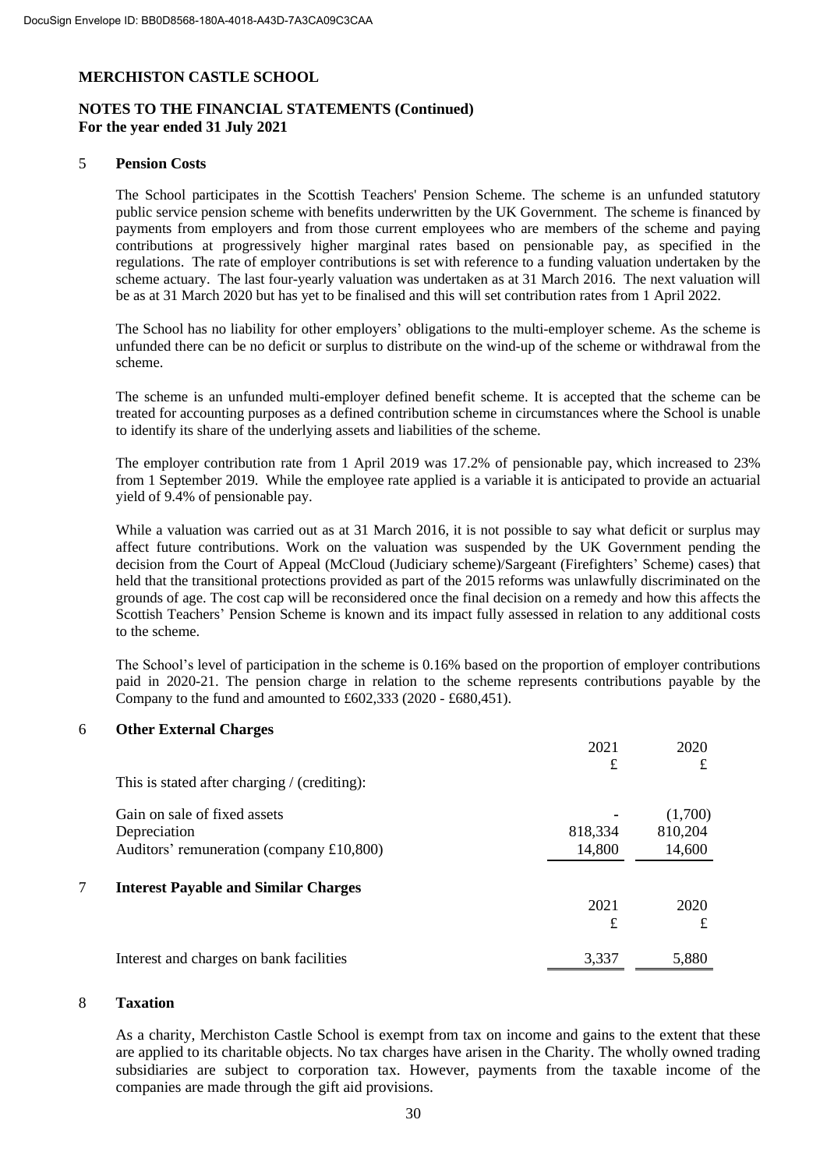# **NOTES TO THE FINANCIAL STATEMENTS (Continued) For the year ended 31 July 2021**

### 5 **Pension Costs**

The School participates in the Scottish Teachers' Pension Scheme. The scheme is an unfunded statutory public service pension scheme with benefits underwritten by the UK Government. The scheme is financed by payments from employers and from those current employees who are members of the scheme and paying contributions at progressively higher marginal rates based on pensionable pay, as specified in the regulations. The rate of employer contributions is set with reference to a funding valuation undertaken by the scheme actuary. The last four-yearly valuation was undertaken as at 31 March 2016. The next valuation will be as at 31 March 2020 but has yet to be finalised and this will set contribution rates from 1 April 2022.

The School has no liability for other employers' obligations to the multi-employer scheme. As the scheme is unfunded there can be no deficit or surplus to distribute on the wind-up of the scheme or withdrawal from the scheme.

The scheme is an unfunded multi-employer defined benefit scheme. It is accepted that the scheme can be treated for accounting purposes as a defined contribution scheme in circumstances where the School is unable to identify its share of the underlying assets and liabilities of the scheme.

The employer contribution rate from 1 April 2019 was 17.2% of pensionable pay, which increased to 23% from 1 September 2019. While the employee rate applied is a variable it is anticipated to provide an actuarial yield of 9.4% of pensionable pay.

While a valuation was carried out as at 31 March 2016, it is not possible to say what deficit or surplus may affect future contributions. Work on the valuation was suspended by the UK Government pending the decision from the Court of Appeal (McCloud (Judiciary scheme)/Sargeant (Firefighters' Scheme) cases) that held that the transitional protections provided as part of the 2015 reforms was unlawfully discriminated on the grounds of age. The cost cap will be reconsidered once the final decision on a remedy and how this affects the Scottish Teachers' Pension Scheme is known and its impact fully assessed in relation to any additional costs to the scheme.

The School's level of participation in the scheme is 0.16% based on the proportion of employer contributions paid in 2020-21. The pension charge in relation to the scheme represents contributions payable by the Company to the fund and amounted to £602,333 (2020 - £680,451).

### 6 **Other External Charges**

|   |                                              | 2021    | 2020    |
|---|----------------------------------------------|---------|---------|
|   |                                              | £       | £       |
|   | This is stated after charging / (crediting): |         |         |
|   | Gain on sale of fixed assets                 |         | (1,700) |
|   | Depreciation                                 | 818,334 | 810,204 |
|   | Auditors' remuneration (company £10,800)     | 14,800  | 14,600  |
| 7 | <b>Interest Payable and Similar Charges</b>  |         |         |
|   |                                              | 2021    | 2020    |
|   |                                              | £       | £       |
|   | Interest and charges on bank facilities      | 3.337   | 5,880   |

#### 8 **Taxation**

As a charity, Merchiston Castle School is exempt from tax on income and gains to the extent that these are applied to its charitable objects. No tax charges have arisen in the Charity. The wholly owned trading subsidiaries are subject to corporation tax. However, payments from the taxable income of the companies are made through the gift aid provisions.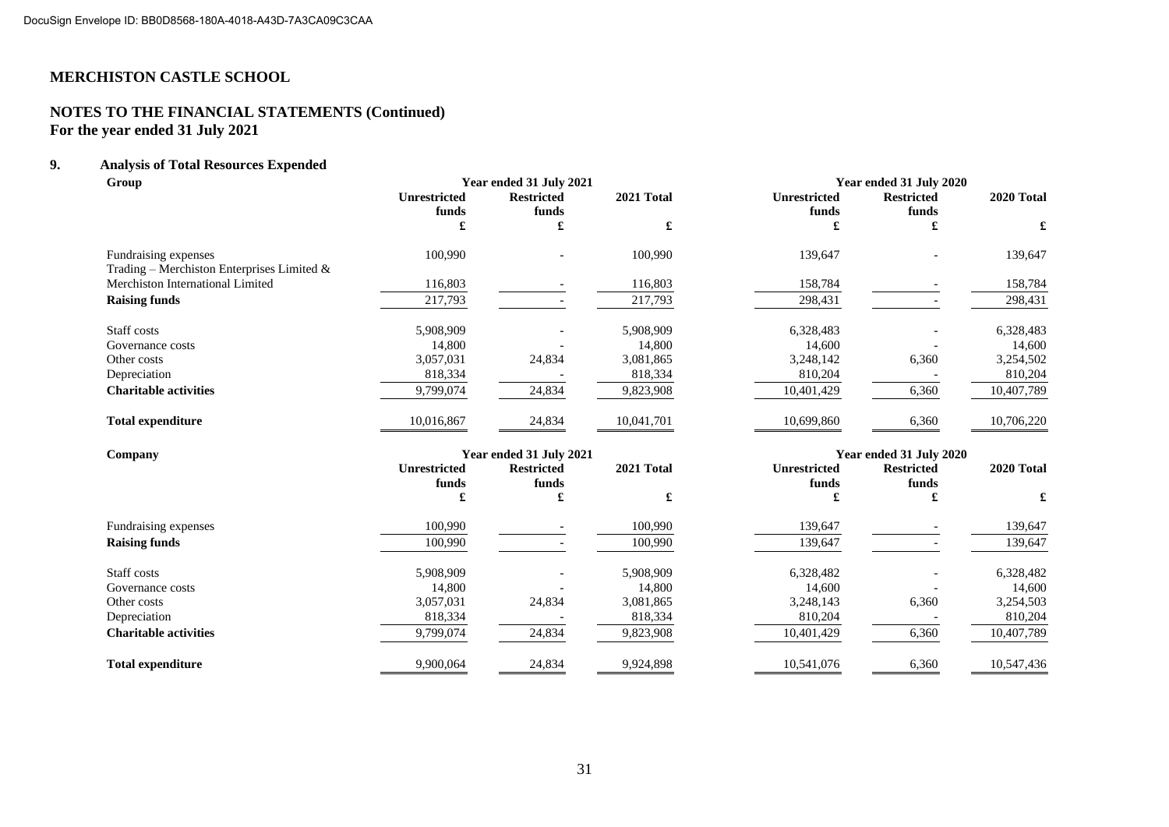# **NOTES TO THE FINANCIAL STATEMENTS (Continued) For the year ended 31 July 2021**

# **9. Analysis of Total Resources Expended**

| Group                                         |                              | Year ended 31 July 2021    |            | Year ended 31 July 2020      |                            |            |
|-----------------------------------------------|------------------------------|----------------------------|------------|------------------------------|----------------------------|------------|
|                                               | <b>Unrestricted</b><br>funds | <b>Restricted</b><br>funds | 2021 Total | <b>Unrestricted</b><br>funds | <b>Restricted</b><br>funds | 2020 Total |
|                                               | £                            | £                          | £          | £                            | £                          | £          |
| Fundraising expenses                          | 100,990                      |                            | 100,990    | 139,647                      |                            | 139,647    |
| Trading - Merchiston Enterprises Limited $\&$ |                              |                            |            |                              |                            |            |
| Merchiston International Limited              | 116,803                      |                            | 116,803    | 158,784                      |                            | 158,784    |
| <b>Raising funds</b>                          | 217,793                      |                            | 217,793    | 298,431                      |                            | 298,431    |
| Staff costs                                   | 5,908,909                    |                            | 5,908,909  | 6,328,483                    |                            | 6,328,483  |
| Governance costs                              | 14,800                       |                            | 14,800     | 14,600                       |                            | 14,600     |
| Other costs                                   | 3,057,031                    | 24,834                     | 3,081,865  | 3,248,142                    | 6,360                      | 3,254,502  |
| Depreciation                                  | 818,334                      |                            | 818,334    | 810,204                      |                            | 810,204    |
| <b>Charitable activities</b>                  | 9,799,074                    | 24,834                     | 9,823,908  | 10,401,429                   | 6,360                      | 10,407,789 |
| <b>Total expenditure</b>                      | 10,016,867                   | 24,834                     | 10,041,701 | 10,699,860                   | 6,360                      | 10,706,220 |
| Company                                       |                              | Year ended 31 July 2021    |            |                              | Year ended 31 July 2020    |            |
|                                               | <b>Unrestricted</b>          | <b>Restricted</b>          | 2021 Total | <b>Unrestricted</b>          | <b>Restricted</b>          | 2020 Total |
|                                               | funds                        | funds                      |            | funds                        | funds                      |            |
|                                               |                              | £                          | £          | £                            | £                          | £          |
| Fundraising expenses                          | 100,990                      |                            | 100,990    | 139,647                      |                            | 139,647    |
| <b>Raising funds</b>                          | 100,990                      |                            | 100,990    | 139,647                      |                            | 139,647    |
| Staff costs                                   | 5,908,909                    |                            | 5,908,909  | 6,328,482                    |                            | 6,328,482  |
| Governance costs                              | 14,800                       |                            | 14,800     | 14,600                       |                            | 14,600     |
| Other costs                                   | 3,057,031                    | 24,834                     | 3,081,865  | 3,248,143                    | 6,360                      | 3,254,503  |
| Depreciation                                  | 818,334                      |                            | 818,334    | 810,204                      |                            | 810,204    |
| <b>Charitable activities</b>                  | 9.799.074                    | 24,834                     | 9,823,908  | 10,401,429                   | 6,360                      | 10,407,789 |
| <b>Total expenditure</b>                      | 9,900,064                    | 24,834                     | 9,924,898  | 10,541,076                   | 6,360                      | 10,547,436 |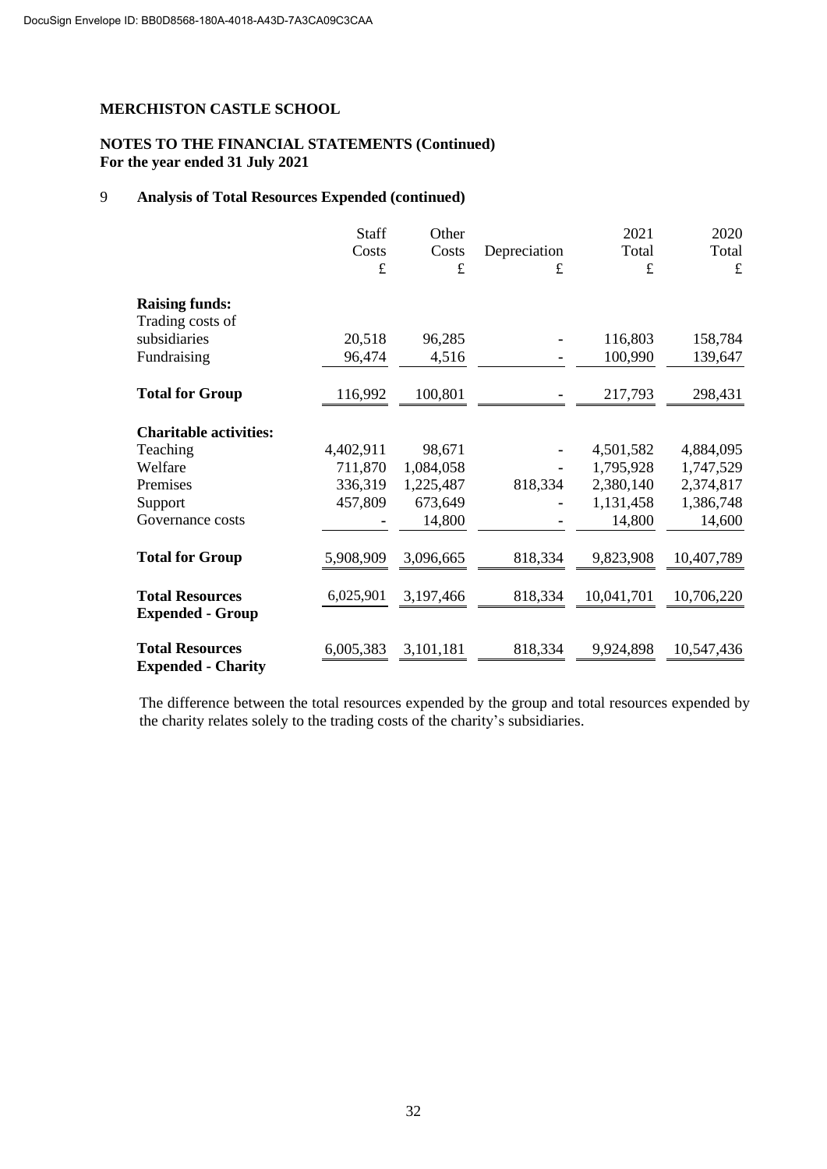## **NOTES TO THE FINANCIAL STATEMENTS (Continued) For the year ended 31 July 2021**

# 9 **Analysis of Total Resources Expended (continued)**

|                                                     | Staff     | Other     |              | 2021       | 2020       |
|-----------------------------------------------------|-----------|-----------|--------------|------------|------------|
|                                                     | Costs     | Costs     | Depreciation | Total      | Total      |
|                                                     | $\pounds$ | £         | £            | £          | £          |
| <b>Raising funds:</b>                               |           |           |              |            |            |
| Trading costs of                                    |           |           |              |            |            |
| subsidiaries                                        | 20,518    | 96,285    |              | 116,803    | 158,784    |
| Fundraising                                         | 96,474    | 4,516     |              | 100,990    | 139,647    |
| <b>Total for Group</b>                              | 116,992   | 100,801   |              | 217,793    | 298,431    |
| <b>Charitable activities:</b>                       |           |           |              |            |            |
| Teaching                                            | 4,402,911 | 98,671    |              | 4,501,582  | 4,884,095  |
| Welfare                                             | 711,870   | 1,084,058 |              | 1,795,928  | 1,747,529  |
| Premises                                            | 336,319   | 1,225,487 | 818,334      | 2,380,140  | 2,374,817  |
| Support                                             | 457,809   | 673,649   |              | 1,131,458  | 1,386,748  |
| Governance costs                                    |           | 14,800    |              | 14,800     | 14,600     |
| <b>Total for Group</b>                              | 5,908,909 | 3,096,665 | 818,334      | 9,823,908  | 10,407,789 |
| <b>Total Resources</b><br><b>Expended - Group</b>   | 6,025,901 | 3,197,466 | 818,334      | 10,041,701 | 10,706,220 |
| <b>Total Resources</b><br><b>Expended - Charity</b> | 6,005,383 | 3,101,181 | 818,334      | 9,924,898  | 10,547,436 |

The difference between the total resources expended by the group and total resources expended by the charity relates solely to the trading costs of the charity's subsidiaries.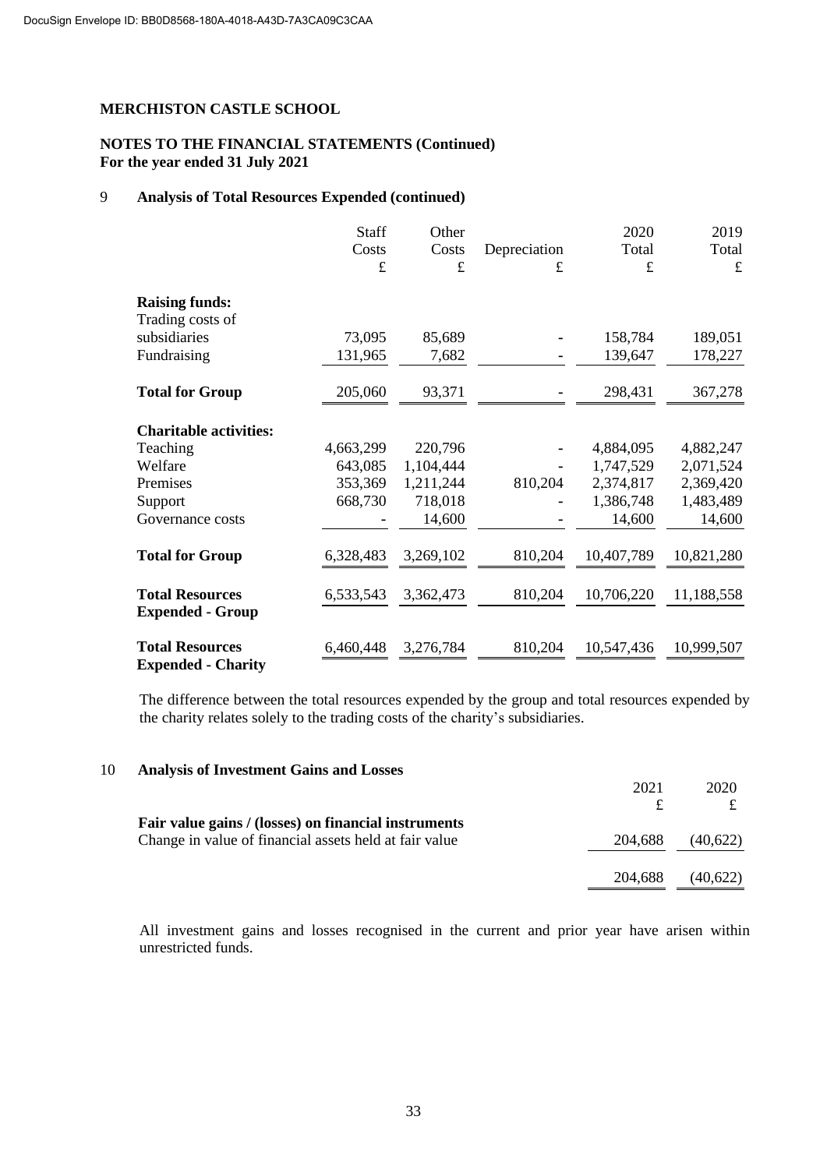## **NOTES TO THE FINANCIAL STATEMENTS (Continued) For the year ended 31 July 2021**

# 9 **Analysis of Total Resources Expended (continued)**

|                                                     | Staff     | Other       |              | 2020       | 2019       |
|-----------------------------------------------------|-----------|-------------|--------------|------------|------------|
|                                                     | Costs     | Costs       | Depreciation | Total      | Total      |
|                                                     | $\pounds$ | $\mathbf f$ | £            | £          | £          |
| <b>Raising funds:</b>                               |           |             |              |            |            |
| Trading costs of                                    |           |             |              |            |            |
| subsidiaries                                        | 73,095    | 85,689      |              | 158,784    | 189,051    |
| Fundraising                                         | 131,965   | 7,682       |              | 139,647    | 178,227    |
| <b>Total for Group</b>                              | 205,060   | 93,371      |              | 298,431    | 367,278    |
| <b>Charitable activities:</b>                       |           |             |              |            |            |
| Teaching                                            | 4,663,299 | 220,796     |              | 4,884,095  | 4,882,247  |
| Welfare                                             | 643,085   | 1,104,444   |              | 1,747,529  | 2,071,524  |
| Premises                                            | 353,369   | 1,211,244   | 810,204      | 2,374,817  | 2,369,420  |
| Support                                             | 668,730   | 718,018     |              | 1,386,748  | 1,483,489  |
| Governance costs                                    |           | 14,600      |              | 14,600     | 14,600     |
| <b>Total for Group</b>                              | 6,328,483 | 3,269,102   | 810,204      | 10,407,789 | 10,821,280 |
| <b>Total Resources</b>                              | 6,533,543 | 3,362,473   | 810,204      | 10,706,220 | 11,188,558 |
| <b>Expended - Group</b>                             |           |             |              |            |            |
| <b>Total Resources</b><br><b>Expended - Charity</b> | 6,460,448 | 3,276,784   | 810,204      | 10,547,436 | 10,999,507 |

The difference between the total resources expended by the group and total resources expended by the charity relates solely to the trading costs of the charity's subsidiaries.

| 10 | <b>Analysis of Investment Gains and Losses</b>         |         |          |
|----|--------------------------------------------------------|---------|----------|
|    |                                                        | 2021    | 2020     |
|    |                                                        |         |          |
|    | Fair value gains / (losses) on financial instruments   |         |          |
|    | Change in value of financial assets held at fair value | 204,688 | (40,622) |
|    |                                                        |         |          |
|    |                                                        | 204,688 | (40,622) |
|    |                                                        |         |          |

All investment gains and losses recognised in the current and prior year have arisen within unrestricted funds.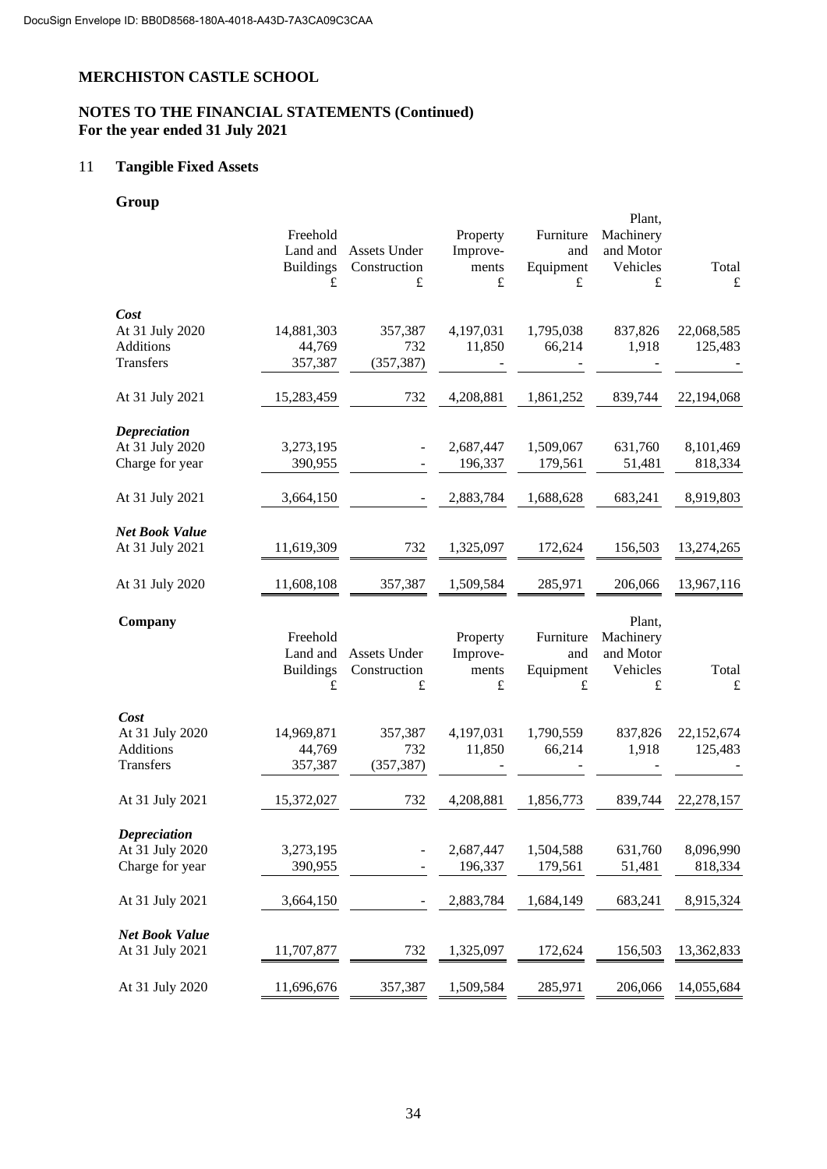# **NOTES TO THE FINANCIAL STATEMENTS (Continued) For the year ended 31 July 2021**

# 11 **Tangible Fixed Assets**

# **Group**

|                       |                  |              |           |           | Plant,    |             |
|-----------------------|------------------|--------------|-----------|-----------|-----------|-------------|
|                       | Freehold         |              | Property  | Furniture | Machinery |             |
|                       | Land and         | Assets Under | Improve-  | and       | and Motor |             |
|                       | <b>Buildings</b> | Construction | ments     | Equipment | Vehicles  | Total       |
|                       | £                | £            | $\pounds$ | £         | $\pounds$ | $\mathbf f$ |
|                       |                  |              |           |           |           |             |
| Cost                  |                  |              |           |           |           |             |
| At 31 July 2020       | 14,881,303       | 357,387      | 4,197,031 | 1,795,038 | 837,826   | 22,068,585  |
| <b>Additions</b>      | 44,769           | 732          | 11,850    | 66,214    | 1,918     | 125,483     |
| Transfers             | 357,387          | (357, 387)   |           |           |           |             |
|                       |                  |              |           |           |           |             |
| At 31 July 2021       | 15,283,459       | 732          | 4,208,881 | 1,861,252 | 839,744   | 22,194,068  |
|                       |                  |              |           |           |           |             |
| <b>Depreciation</b>   |                  |              |           |           |           |             |
| At 31 July 2020       | 3,273,195        |              | 2,687,447 | 1,509,067 | 631,760   | 8,101,469   |
| Charge for year       | 390,955          |              | 196,337   | 179,561   | 51,481    | 818,334     |
|                       |                  |              |           |           |           |             |
| At 31 July 2021       | 3,664,150        |              | 2,883,784 | 1,688,628 | 683,241   | 8,919,803   |
|                       |                  |              |           |           |           |             |
| Net Book Value        |                  |              |           |           |           |             |
| At 31 July 2021       | 11,619,309       | 732          | 1,325,097 | 172,624   | 156,503   | 13,274,265  |
|                       |                  |              |           |           |           |             |
| At 31 July 2020       | 11,608,108       | 357,387      | 1,509,584 | 285,971   | 206,066   | 13,967,116  |
|                       |                  |              |           |           |           |             |
|                       |                  |              |           |           |           |             |
| Company               |                  |              |           |           | Plant,    |             |
|                       | Freehold         |              | Property  | Furniture | Machinery |             |
|                       | Land and         | Assets Under | Improve-  | and       | and Motor |             |
|                       | <b>Buildings</b> | Construction | ments     | Equipment | Vehicles  | Total       |
|                       | £                | $\pounds$    | £         | $\pounds$ | $\pounds$ | $\mathbf f$ |
|                       |                  |              |           |           |           |             |
| Cost                  |                  |              |           |           |           |             |
|                       |                  |              |           |           |           |             |
| At 31 July 2020       | 14,969,871       | 357,387      | 4,197,031 | 1,790,559 | 837,826   | 22,152,674  |
| <b>Additions</b>      | 44,769           | 732          | 11,850    | 66,214    | 1,918     | 125,483     |
| Transfers             | 357,387          | (357, 387)   |           |           |           |             |
|                       |                  |              |           |           |           |             |
| At 31 July 2021       | 15,372,027       | 732          | 4,208,881 | 1,856,773 | 839,744   | 22,278,157  |
|                       |                  |              |           |           |           |             |
| <b>Depreciation</b>   |                  |              |           |           |           |             |
| At 31 July 2020       | 3,273,195        |              | 2,687,447 | 1,504,588 | 631,760   | 8,096,990   |
| Charge for year       | 390,955          |              | 196,337   | 179,561   | 51,481    | 818,334     |
|                       |                  |              |           |           |           |             |
| At 31 July 2021       | 3,664,150        |              | 2,883,784 | 1,684,149 | 683,241   | 8,915,324   |
|                       |                  |              |           |           |           |             |
| <b>Net Book Value</b> |                  |              |           |           |           |             |
| At 31 July 2021       | 11,707,877       | 732          | 1,325,097 | 172,624   | 156,503   | 13,362,833  |
| At 31 July 2020       | 11,696,676       | 357,387      | 1,509,584 | 285,971   | 206,066   | 14,055,684  |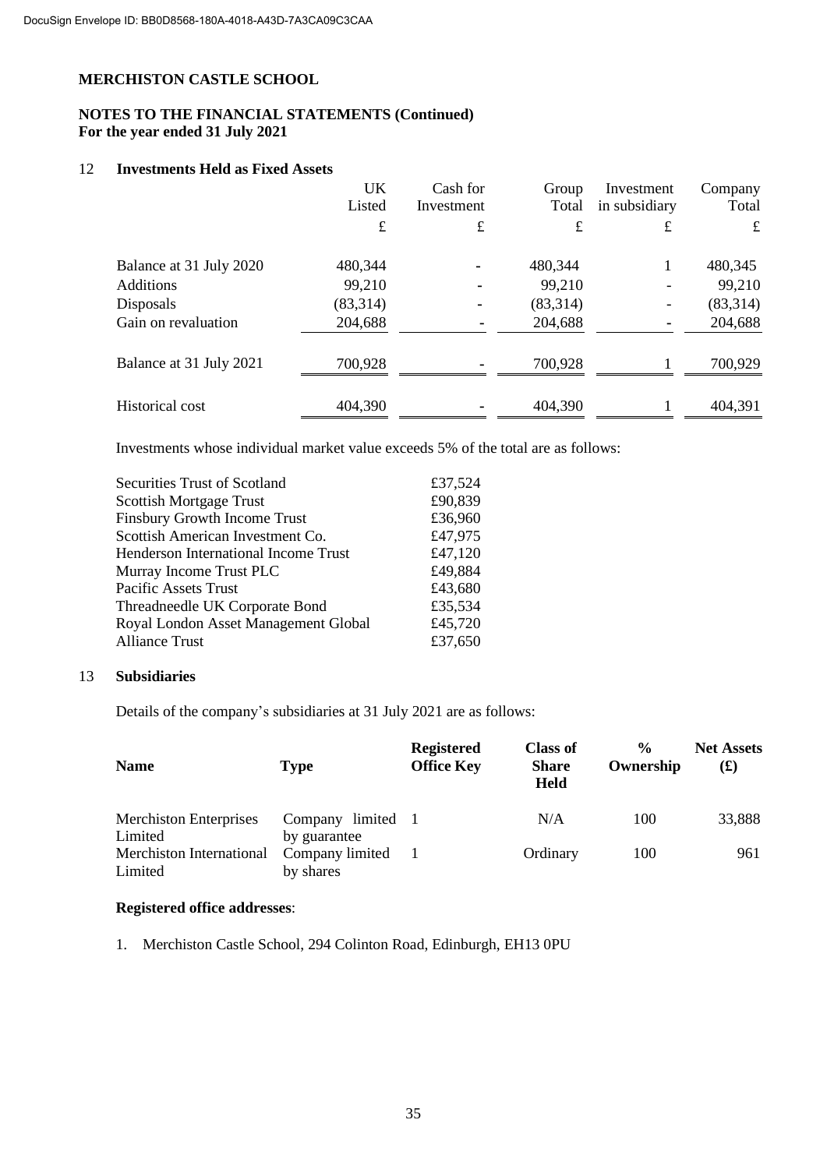# **NOTES TO THE FINANCIAL STATEMENTS (Continued) For the year ended 31 July 2021**

### 12 **Investments Held as Fixed Assets**

|                         | UK<br>Listed | Cash for<br>Investment | Group<br>Total | Investment<br>in subsidiary | Company<br>Total |
|-------------------------|--------------|------------------------|----------------|-----------------------------|------------------|
|                         | $\pounds$    | £                      | £              | £                           | £                |
| Balance at 31 July 2020 | 480,344      |                        | 480,344        |                             | 480,345          |
| <b>Additions</b>        | 99,210       | ۰                      | 99,210         |                             | 99,210           |
| Disposals               | (83,314)     | ۰                      | (83,314)       |                             | (83,314)         |
| Gain on revaluation     | 204,688      | ۰                      | 204,688        |                             | 204,688          |
| Balance at 31 July 2021 | 700,928      |                        | 700,928        |                             | 700,929          |
| <b>Historical cost</b>  | 404,390      |                        | 404,390        |                             | 404,391          |

Investments whose individual market value exceeds 5% of the total are as follows:

| <b>Securities Trust of Scotland</b>         | £37,524 |
|---------------------------------------------|---------|
| <b>Scottish Mortgage Trust</b>              | £90,839 |
| <b>Finsbury Growth Income Trust</b>         | £36,960 |
| Scottish American Investment Co.            | £47,975 |
| <b>Henderson International Income Trust</b> | £47,120 |
| Murray Income Trust PLC                     | £49,884 |
| Pacific Assets Trust                        | £43,680 |
| Threadneedle UK Corporate Bond              | £35,534 |
| Royal London Asset Management Global        | £45,720 |
| <b>Alliance Trust</b>                       | £37,650 |
|                                             |         |

### 13 **Subsidiaries**

Details of the company's subsidiaries at 31 July 2021 are as follows:

| <b>Name</b>                   | Type               | <b>Registered</b><br><b>Office Key</b> | <b>Class of</b><br><b>Share</b><br><b>Held</b> | $\frac{0}{0}$<br>Ownership | <b>Net Assets</b><br>$\mathbf f(x)$ |
|-------------------------------|--------------------|----------------------------------------|------------------------------------------------|----------------------------|-------------------------------------|
| <b>Merchiston Enterprises</b> | limited<br>Company |                                        | N/A                                            | 100                        | 33,888                              |
| Limited                       | by guarantee       |                                        |                                                |                            |                                     |
| Merchiston International      | Company limited    |                                        | Ordinary                                       | 100                        | 961                                 |
| Limited                       | by shares          |                                        |                                                |                            |                                     |

# **Registered office addresses**:

1. Merchiston Castle School, 294 Colinton Road, Edinburgh, EH13 0PU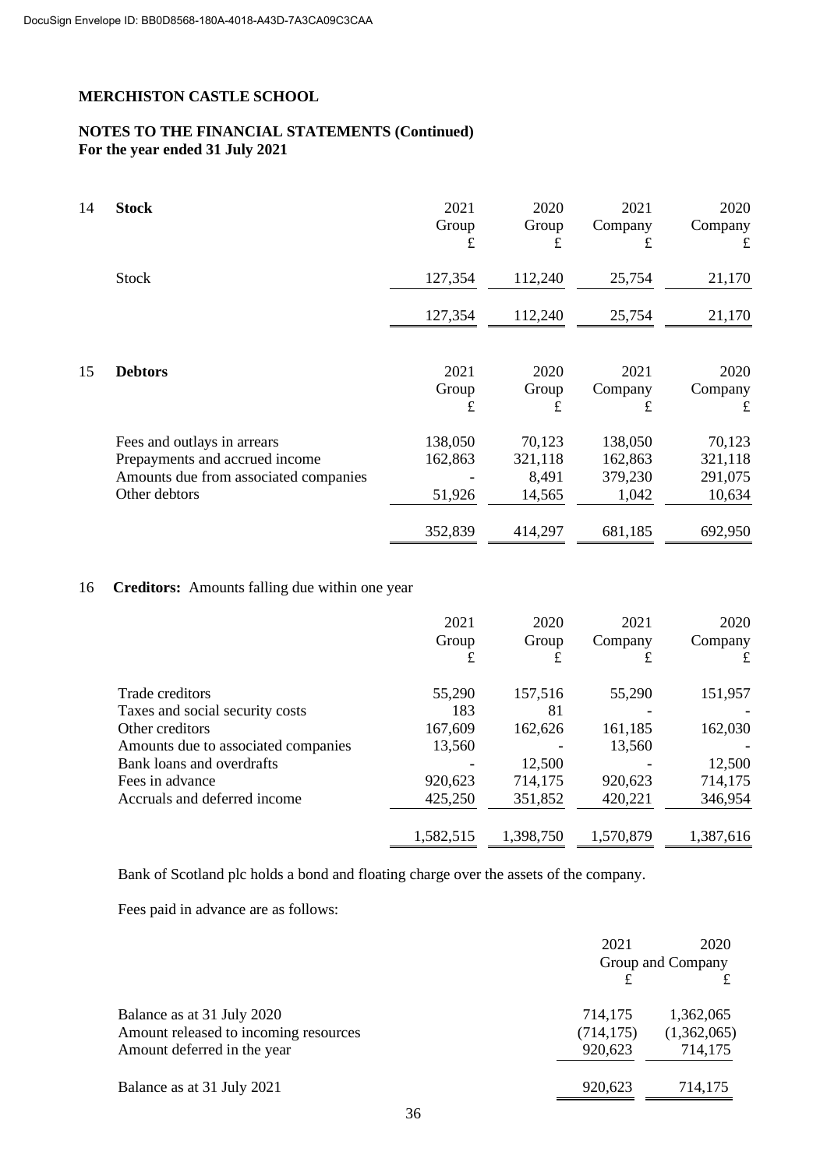# **NOTES TO THE FINANCIAL STATEMENTS (Continued) For the year ended 31 July 2021**

| 14 | <b>Stock</b>                                                                                                            | 2021<br>Group<br>£           | 2020<br>Group<br>£                   | 2021<br>Company<br>£                   | 2020<br>Company<br>£                   |
|----|-------------------------------------------------------------------------------------------------------------------------|------------------------------|--------------------------------------|----------------------------------------|----------------------------------------|
|    | <b>Stock</b>                                                                                                            | 127,354                      | 112,240                              | 25,754                                 | 21,170                                 |
|    |                                                                                                                         | 127,354                      | 112,240                              | 25,754                                 | 21,170                                 |
| 15 | <b>Debtors</b>                                                                                                          | 2021<br>Group<br>£           | 2020<br>Group<br>£                   | 2021<br>Company<br>£                   | 2020<br>Company<br>£                   |
|    | Fees and outlays in arrears<br>Prepayments and accrued income<br>Amounts due from associated companies<br>Other debtors | 138,050<br>162,863<br>51,926 | 70,123<br>321,118<br>8,491<br>14,565 | 138,050<br>162,863<br>379,230<br>1,042 | 70,123<br>321,118<br>291,075<br>10,634 |
|    |                                                                                                                         | 352,839                      | 414,297                              | 681,185                                | 692,950                                |

# 16 **Creditors:** Amounts falling due within one year

|                                     | 2021<br>Group<br>£ | 2020<br>Group<br>£ | 2021<br>Company<br>£ | 2020<br>Company<br>£ |
|-------------------------------------|--------------------|--------------------|----------------------|----------------------|
| Trade creditors                     | 55,290             | 157,516            | 55,290               | 151,957              |
| Taxes and social security costs     | 183                | 81                 | ۰                    |                      |
| Other creditors                     | 167,609            | 162,626            | 161,185              | 162,030              |
| Amounts due to associated companies | 13,560             |                    | 13,560               |                      |
| Bank loans and overdrafts           |                    | 12,500             |                      | 12,500               |
| Fees in advance                     | 920,623            | 714,175            | 920,623              | 714,175              |
| Accruals and deferred income        | 425,250            | 351,852            | 420,221              | 346,954              |
|                                     | 1,582,515          | 1,398,750          | 1,570,879            | 1,387,616            |

Bank of Scotland plc holds a bond and floating charge over the assets of the company.

Fees paid in advance are as follows:

|                                       | 2021       | 2020<br>Group and Company |
|---------------------------------------|------------|---------------------------|
|                                       |            |                           |
| Balance as at 31 July 2020            | 714,175    | 1,362,065                 |
| Amount released to incoming resources | (714, 175) | (1,362,065)               |
| Amount deferred in the year           | 920,623    | 714,175                   |
| Balance as at 31 July 2021            | 920,623    | 714,175                   |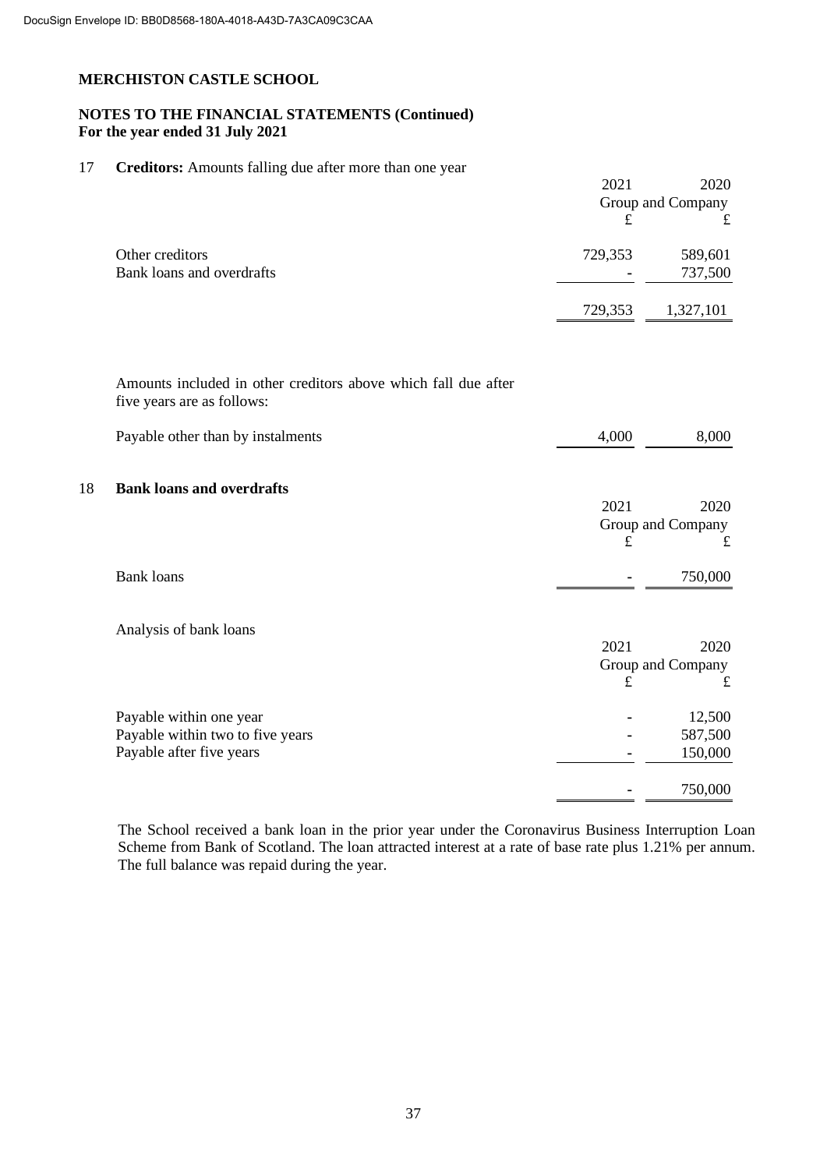# **NOTES TO THE FINANCIAL STATEMENTS (Continued) For the year ended 31 July 2021**

#### 17 **Creditors:** Amounts falling due after more than one year

|         | 2020              |
|---------|-------------------|
|         | Group and Company |
| £       |                   |
| 729,353 | 589,601           |
|         | 737,500           |
| 729,353 | 1,327,101         |
|         | 2021              |

Amounts included in other creditors above which fall due after five years are as follows:

|    | Payable other than by instalments | 4,000       | 8,000                     |
|----|-----------------------------------|-------------|---------------------------|
| 18 | <b>Bank loans and overdrafts</b>  |             |                           |
|    |                                   | 2021        | 2020                      |
|    |                                   |             | Group and Company         |
|    |                                   | £           | £                         |
|    | <b>Bank loans</b>                 |             | 750,000                   |
|    | Analysis of bank loans            | 2021        |                           |
|    |                                   |             | 2020<br>Group and Company |
|    |                                   | $\mathbf f$ | £                         |
|    | Payable within one year           |             | 12,500                    |
|    | Payable within two to five years  |             | 587,500                   |
|    | Payable after five years          |             | 150,000                   |
|    |                                   |             | 750,000                   |

The School received a bank loan in the prior year under the Coronavirus Business Interruption Loan Scheme from Bank of Scotland. The loan attracted interest at a rate of base rate plus 1.21% per annum. The full balance was repaid during the year.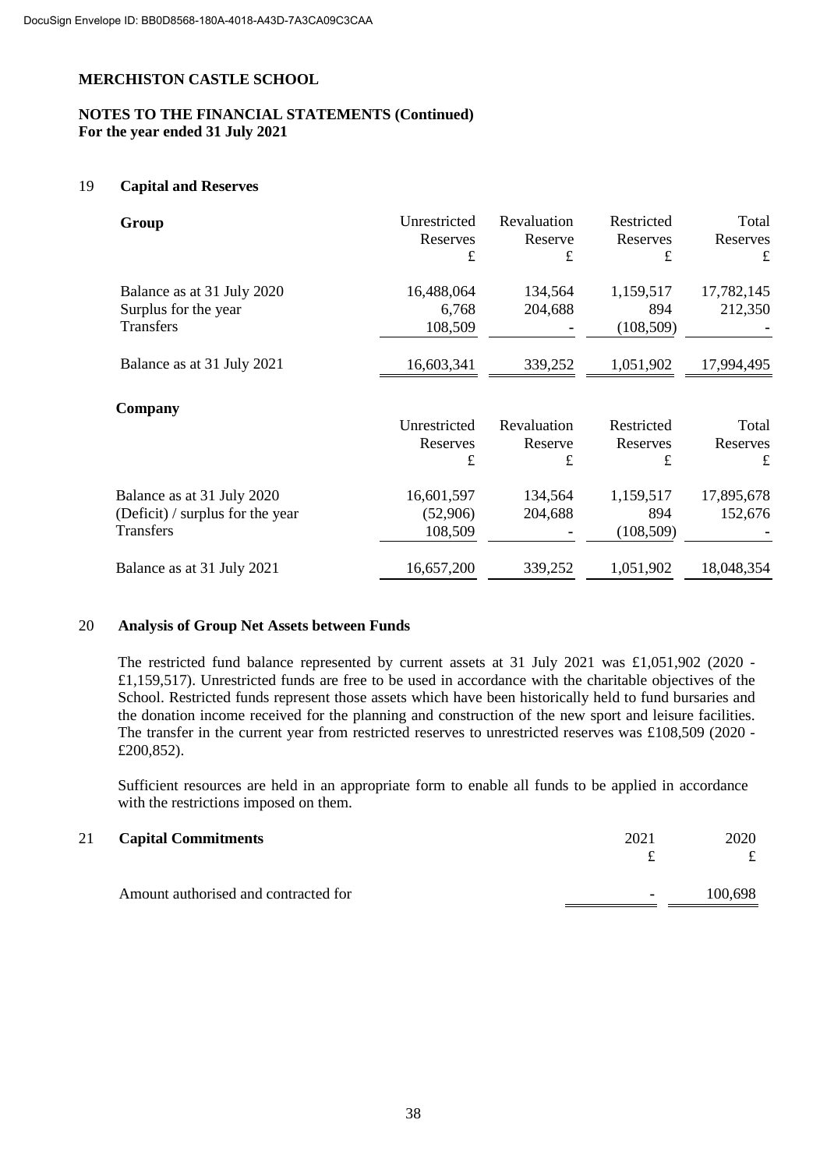# **NOTES TO THE FINANCIAL STATEMENTS (Continued) For the year ended 31 July 2021**

#### 19 **Capital and Reserves**

| Group                                                                       | Unrestricted<br>Reserves<br>$\mathbf f$ | Revaluation<br>Reserve<br>£ | Restricted<br>Reserves<br>£    | Total<br>Reserves<br>£ |
|-----------------------------------------------------------------------------|-----------------------------------------|-----------------------------|--------------------------------|------------------------|
| Balance as at 31 July 2020<br>Surplus for the year<br><b>Transfers</b>      | 16,488,064<br>6,768<br>108,509          | 134,564<br>204,688          | 1,159,517<br>894<br>(108, 509) | 17,782,145<br>212,350  |
| Balance as at 31 July 2021                                                  | 16,603,341                              | 339,252                     | 1,051,902                      | 17,994,495             |
| Company                                                                     | Unrestricted<br>Reserves<br>£           | Revaluation<br>Reserve<br>£ | Restricted<br>Reserves<br>£    | Total<br>Reserves<br>£ |
| Balance as at 31 July 2020<br>(Deficit) / surplus for the year<br>Transfers | 16,601,597<br>(52,906)<br>108,509       | 134,564<br>204,688          | 1,159,517<br>894<br>(108, 509) | 17,895,678<br>152,676  |
| Balance as at 31 July 2021                                                  | 16,657,200                              | 339,252                     | 1,051,902                      | 18,048,354             |

#### 20 **Analysis of Group Net Assets between Funds**

The restricted fund balance represented by current assets at 31 July 2021 was £1,051,902 (2020 - £1,159,517). Unrestricted funds are free to be used in accordance with the charitable objectives of the School. Restricted funds represent those assets which have been historically held to fund bursaries and the donation income received for the planning and construction of the new sport and leisure facilities. The transfer in the current year from restricted reserves to unrestricted reserves was £108,509 (2020 - £200,852).

Sufficient resources are held in an appropriate form to enable all funds to be applied in accordance with the restrictions imposed on them.

| 21 | <b>Capital Commitments</b>           | 2021           | 2020    |
|----|--------------------------------------|----------------|---------|
|    |                                      |                |         |
|    | Amount authorised and contracted for | $\blacksquare$ | 100,698 |
|    |                                      |                |         |